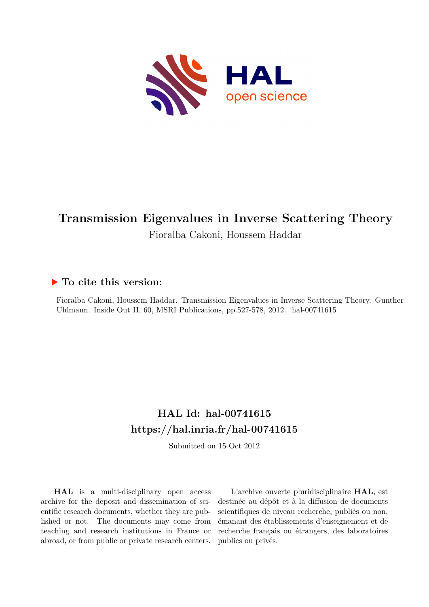

## **Transmission Eigenvalues in Inverse Scattering Theory** Fioralba Cakoni, Houssem Haddar

### **To cite this version:**

Fioralba Cakoni, Houssem Haddar. Transmission Eigenvalues in Inverse Scattering Theory. Gunther Uhlmann. Inside Out II, 60, MSRI Publications, pp.527-578, 2012. hal-00741615

## **HAL Id: hal-00741615 <https://hal.inria.fr/hal-00741615>**

Submitted on 15 Oct 2012

**HAL** is a multi-disciplinary open access archive for the deposit and dissemination of scientific research documents, whether they are published or not. The documents may come from teaching and research institutions in France or abroad, or from public or private research centers.

L'archive ouverte pluridisciplinaire **HAL**, est destinée au dépôt et à la diffusion de documents scientifiques de niveau recherche, publiés ou non, émanant des établissements d'enseignement et de recherche français ou étrangers, des laboratoires publics ou privés.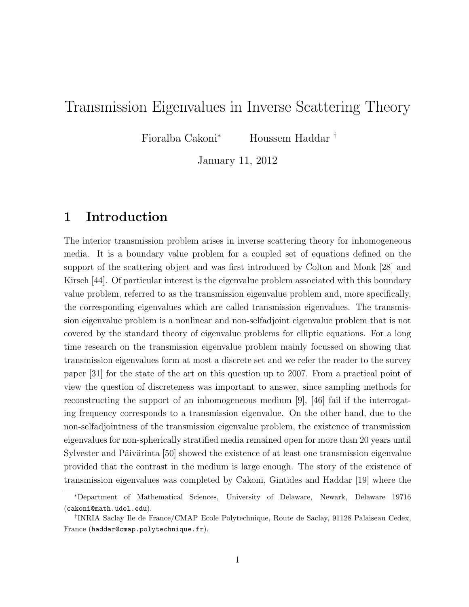## Transmission Eigenvalues in Inverse Scattering Theory

Fioralba Cakoni<sup>∗</sup> Houssem Haddar †

January 11, 2012

### 1 Introduction

The interior transmission problem arises in inverse scattering theory for inhomogeneous media. It is a boundary value problem for a coupled set of equations defined on the support of the scattering object and was first introduced by Colton and Monk [28] and Kirsch [44]. Of particular interest is the eigenvalue problem associated with this boundary value problem, referred to as the transmission eigenvalue problem and, more specifically, the corresponding eigenvalues which are called transmission eigenvalues. The transmission eigenvalue problem is a nonlinear and non-selfadjoint eigenvalue problem that is not covered by the standard theory of eigenvalue problems for elliptic equations. For a long time research on the transmission eigenvalue problem mainly focussed on showing that transmission eigenvalues form at most a discrete set and we refer the reader to the survey paper [31] for the state of the art on this question up to 2007. From a practical point of view the question of discreteness was important to answer, since sampling methods for reconstructing the support of an inhomogeneous medium [9], [46] fail if the interrogating frequency corresponds to a transmission eigenvalue. On the other hand, due to the non-selfadjointness of the transmission eigenvalue problem, the existence of transmission eigenvalues for non-spherically stratified media remained open for more than 20 years until Sylvester and Päivärinta [50] showed the existence of at least one transmission eigenvalue provided that the contrast in the medium is large enough. The story of the existence of transmission eigenvalues was completed by Cakoni, Gintides and Haddar [19] where the

<sup>∗</sup>Department of Mathematical Sciences, University of Delaware, Newark, Delaware 19716 (cakoni@math.udel.edu).

<sup>†</sup> INRIA Saclay Ile de France/CMAP Ecole Polytechnique, Route de Saclay, 91128 Palaiseau Cedex, France (haddar@cmap.polytechnique.fr).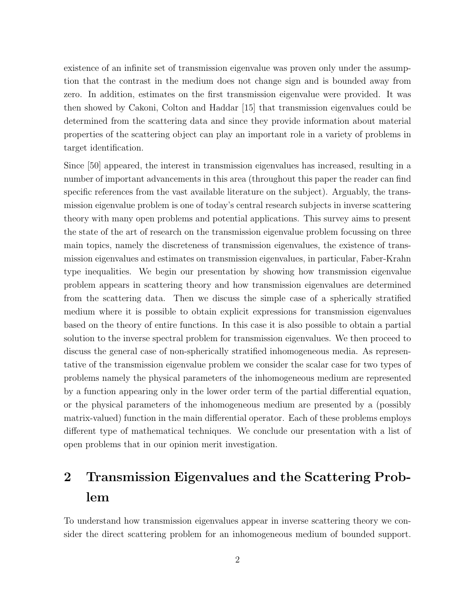existence of an infinite set of transmission eigenvalue was proven only under the assumption that the contrast in the medium does not change sign and is bounded away from zero. In addition, estimates on the first transmission eigenvalue were provided. It was then showed by Cakoni, Colton and Haddar [15] that transmission eigenvalues could be determined from the scattering data and since they provide information about material properties of the scattering object can play an important role in a variety of problems in target identification.

Since [50] appeared, the interest in transmission eigenvalues has increased, resulting in a number of important advancements in this area (throughout this paper the reader can find specific references from the vast available literature on the subject). Arguably, the transmission eigenvalue problem is one of today's central research subjects in inverse scattering theory with many open problems and potential applications. This survey aims to present the state of the art of research on the transmission eigenvalue problem focussing on three main topics, namely the discreteness of transmission eigenvalues, the existence of transmission eigenvalues and estimates on transmission eigenvalues, in particular, Faber-Krahn type inequalities. We begin our presentation by showing how transmission eigenvalue problem appears in scattering theory and how transmission eigenvalues are determined from the scattering data. Then we discuss the simple case of a spherically stratified medium where it is possible to obtain explicit expressions for transmission eigenvalues based on the theory of entire functions. In this case it is also possible to obtain a partial solution to the inverse spectral problem for transmission eigenvalues. We then proceed to discuss the general case of non-spherically stratified inhomogeneous media. As representative of the transmission eigenvalue problem we consider the scalar case for two types of problems namely the physical parameters of the inhomogeneous medium are represented by a function appearing only in the lower order term of the partial differential equation, or the physical parameters of the inhomogeneous medium are presented by a (possibly matrix-valued) function in the main differential operator. Each of these problems employs different type of mathematical techniques. We conclude our presentation with a list of open problems that in our opinion merit investigation.

# 2 Transmission Eigenvalues and the Scattering Problem

To understand how transmission eigenvalues appear in inverse scattering theory we consider the direct scattering problem for an inhomogeneous medium of bounded support.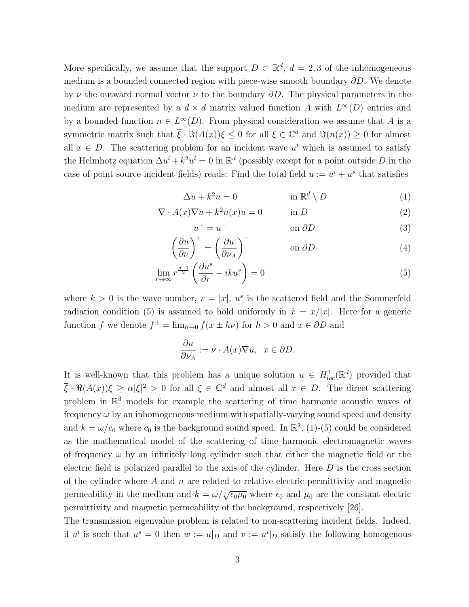More specifically, we assume that the support  $D \subset \mathbb{R}^d$ ,  $d = 2, 3$  of the inhomogeneous medium is a bounded connected region with piece-wise smooth boundary  $\partial D$ . We denote by  $\nu$  the outward normal vector  $\nu$  to the boundary  $\partial D$ . The physical parameters in the medium are represented by a  $d \times d$  matrix valued function A with  $L^{\infty}(D)$  entries and by a bounded function  $n \in L^{\infty}(D)$ . From physical consideration we assume that A is a symmetric matrix such that  $\bar{\xi} \cdot \Im(A(x))\xi \leq 0$  for all  $\xi \in \mathbb{C}^d$  and  $\Im(n(x)) \geq 0$  for almost all  $x \in D$ . The scattering problem for an incident wave  $u^i$  which is assumed to satisfy the Helmhotz equation  $\Delta u^i + k^2 u^i = 0$  in  $\mathbb{R}^d$  (possibly except for a point outside D in the case of point source incident fields) reads: Find the total field  $u := u^i + u^s$  that satisfies

> $\Delta u + k^2 u = 0$  in R  $\overline{D}$  (1)

$$
\nabla \cdot A(x)\nabla u + k^2 n(x)u = 0 \qquad \text{in } D \tag{2}
$$

 $u^+ = u$ on  $\partial D$  (3)

$$
\left(\frac{\partial u}{\partial \nu}\right)^{+} = \left(\frac{\partial u}{\partial \nu_{A}}\right)^{-} \qquad \text{on } \partial D \tag{4}
$$

$$
\lim_{r \to \infty} r^{\frac{d-1}{2}} \left( \frac{\partial u^s}{\partial r} - i k u^s \right) = 0 \tag{5}
$$

where  $k > 0$  is the wave number,  $r = |x|$ ,  $u<sup>s</sup>$  is the scattered field and the Sommerfeld radiation condition (5) is assumed to hold uniformly in  $\hat{x} = x/|x|$ . Here for a generic function f we denote  $f^{\pm} = \lim_{h \to 0} f(x \pm h\nu)$  for  $h > 0$  and  $x \in \partial D$  and

$$
\frac{\partial u}{\partial \nu_A} := \nu \cdot A(x) \nabla u, \ \ x \in \partial D.
$$

It is well-known that this problem has a unique solution  $u \in H^1_{loc}(\mathbb{R}^d)$  provided that  $\overline{\xi} \cdot \Re(A(x))\xi \ge \alpha |\xi|^2 > 0$  for all  $\xi \in \mathbb{C}^d$  and almost all  $x \in D$ . The direct scattering problem in  $\mathbb{R}^3$  models for example the scattering of time harmonic acoustic waves of frequency  $\omega$  by an inhomogeneous medium with spatially-varying sound speed and density and  $k = \omega/c_0$  where  $c_0$  is the background sound speed. In  $\mathbb{R}^2$ , (1)-(5) could be considered as the mathematical model of the scattering of time harmonic electromagnetic waves of frequency  $\omega$  by an infinitely long cylinder such that either the magnetic field or the electric field is polarized parallel to the axis of the cylinder. Here  $D$  is the cross section of the cylinder where  $A$  and  $n$  are related to relative electric permittivity and magnetic permeability in the medium and  $k = \omega/\sqrt{\epsilon_0 \mu_0}$  where  $\epsilon_0$  and  $\mu_0$  are the constant electric permittivity and magnetic permeability of the background, respectively [26].

The transmission eigenvalue problem is related to non-scattering incident fields. Indeed, if  $u^i$  is such that  $u^s = 0$  then  $w := u|_D$  and  $v := u^i|_D$  satisfy the following homogenous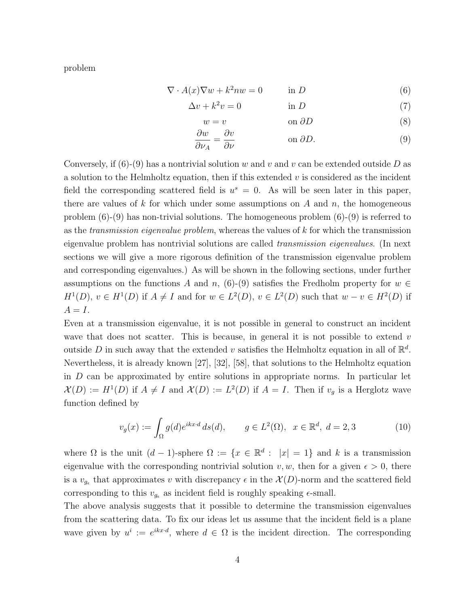problem

$$
\nabla \cdot A(x)\nabla w + k^2 n w = 0 \qquad \text{in } D \tag{6}
$$

$$
\Delta v + k^2 v = 0 \qquad \text{in } D \tag{7}
$$

$$
w = v \qquad \text{on } \partial D \tag{8}
$$

$$
\frac{\partial w}{\partial \nu_A} = \frac{\partial v}{\partial \nu} \qquad \text{on } \partial D. \tag{9}
$$

Conversely, if  $(6)-(9)$  has a nontrivial solution w and v and v can be extended outside D as a solution to the Helmholtz equation, then if this extended  $v$  is considered as the incident field the corresponding scattered field is  $u^s = 0$ . As will be seen later in this paper, there are values of k for which under some assumptions on A and n, the homogeneous problem  $(6)-(9)$  has non-trivial solutions. The homogeneous problem  $(6)-(9)$  is referred to as the *transmission eigenvalue problem*, whereas the values of  $k$  for which the transmission eigenvalue problem has nontrivial solutions are called transmission eigenvalues. (In next sections we will give a more rigorous definition of the transmission eigenvalue problem and corresponding eigenvalues.) As will be shown in the following sections, under further assumptions on the functions A and n,  $(6)-(9)$  satisfies the Fredholm property for  $w \in$  $H^1(D)$ ,  $v \in H^1(D)$  if  $A \neq I$  and for  $w \in L^2(D)$ ,  $v \in L^2(D)$  such that  $w - v \in H^2(D)$  if  $A = I$ .

Even at a transmission eigenvalue, it is not possible in general to construct an incident wave that does not scatter. This is because, in general it is not possible to extend  $v$ outside D in such away that the extended v satisfies the Helmholtz equation in all of  $\mathbb{R}^d$ . Nevertheless, it is already known [27], [32], [58], that solutions to the Helmholtz equation in  $D$  can be approximated by entire solutions in appropriate norms. In particular let  $\mathcal{X}(D) := H^1(D)$  if  $A \neq I$  and  $\mathcal{X}(D) := L^2(D)$  if  $A = I$ . Then if  $v_g$  is a Herglotz wave function defined by

$$
v_g(x) := \int_{\Omega} g(d)e^{ikx \cdot d} ds(d), \qquad g \in L^2(\Omega), \ \ x \in \mathbb{R}^d, \ d = 2, 3 \tag{10}
$$

where  $\Omega$  is the unit  $(d-1)$ -sphere  $\Omega := \{x \in \mathbb{R}^d : |x| = 1\}$  and k is a transmission eigenvalue with the corresponding nontrivial solution v, w, then for a given  $\epsilon > 0$ , there is a  $v_{g_{\epsilon}}$  that approximates v with discrepancy  $\epsilon$  in the  $\mathcal{X}(D)$ -norm and the scattered field corresponding to this  $v_{g_{\epsilon}}$  as incident field is roughly speaking  $\epsilon$ -small.

The above analysis suggests that it possible to determine the transmission eigenvalues from the scattering data. To fix our ideas let us assume that the incident field is a plane wave given by  $u^i := e^{ikx \cdot d}$ , where  $d \in \Omega$  is the incident direction. The corresponding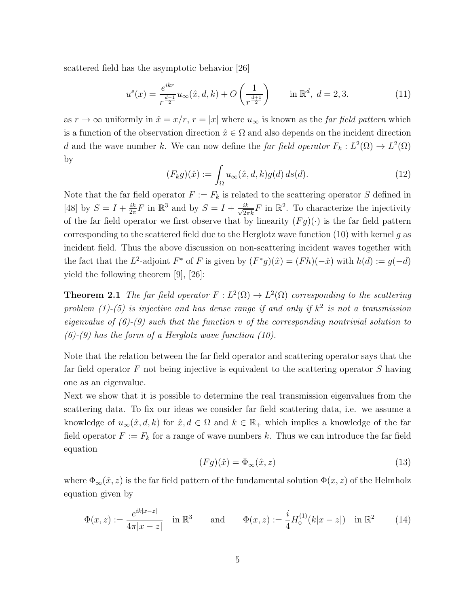scattered field has the asymptotic behavior [26]

$$
u^{s}(x) = \frac{e^{ikr}}{r^{\frac{d-1}{2}}} u_{\infty}(\hat{x}, d, k) + O\left(\frac{1}{r^{\frac{d+1}{2}}}\right) \quad \text{in } \mathbb{R}^{d}, d = 2, 3.
$$
 (11)

as  $r \to \infty$  uniformly in  $\hat{x} = x/r$ ,  $r = |x|$  where  $u_{\infty}$  is known as the *far field pattern* which is a function of the observation direction  $\hat{x} \in \Omega$  and also depends on the incident direction d and the wave number k. We can now define the far field operator  $F_k : L^2(\Omega) \to L^2(\Omega)$ by

$$
(F_k g)(\hat{x}) := \int_{\Omega} u_{\infty}(\hat{x}, d, k) g(d) ds(d).
$$
 (12)

Note that the far field operator  $F := F_k$  is related to the scattering operator S defined in [48] by  $S = I + \frac{ik}{2\pi}$  $\frac{ik}{2\pi}F$  in  $\mathbb{R}^3$  and by  $S = I + \frac{ik}{\sqrt{2\pi k}}F$  in  $\mathbb{R}^2$ . To characterize the injectivity of the far field operator we first observe that by linearity  $(Fg)(.)$  is the far field pattern corresponding to the scattered field due to the Herglotz wave function  $(10)$  with kernel g as incident field. Thus the above discussion on non-scattering incident waves together with the fact that the L<sup>2</sup>-adjoint F<sup>\*</sup> of F is given by  $(F^*g)(\hat{x}) = \overline{(Fh)(-\hat{x})}$  with  $h(d) := \overline{g(-d)}$ yield the following theorem [9], [26]:

**Theorem 2.1** The far field operator  $F: L^2(\Omega) \to L^2(\Omega)$  corresponding to the scattering problem (1)-(5) is injective and has dense range if and only if  $k^2$  is not a transmission eigenvalue of  $(6)-(9)$  such that the function v of the corresponding nontrivial solution to  $(6)-(9)$  has the form of a Herglotz wave function (10).

Note that the relation between the far field operator and scattering operator says that the far field operator F not being injective is equivalent to the scattering operator S having one as an eigenvalue.

Next we show that it is possible to determine the real transmission eigenvalues from the scattering data. To fix our ideas we consider far field scattering data, i.e. we assume a knowledge of  $u_{\infty}(\hat{x}, d, k)$  for  $\hat{x}, d \in \Omega$  and  $k \in \mathbb{R}_+$  which implies a knowledge of the far field operator  $F := F_k$  for a range of wave numbers k. Thus we can introduce the far field equation

$$
(Fg)(\hat{x}) = \Phi_{\infty}(\hat{x}, z)
$$
\n(13)

where  $\Phi_{\infty}(\hat{x}, z)$  is the far field pattern of the fundamental solution  $\Phi(x, z)$  of the Helmholz equation given by

$$
\Phi(x, z) := \frac{e^{ik|x-z|}}{4\pi|x-z|} \quad \text{in } \mathbb{R}^3 \qquad \text{and} \qquad \Phi(x, z) := \frac{i}{4} H_0^{(1)}(k|x-z|) \quad \text{in } \mathbb{R}^2 \tag{14}
$$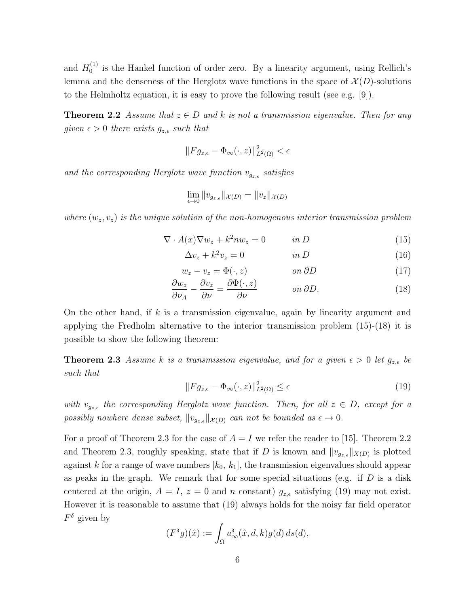and  $H_0^{(1)}$  $_{0}^{(1)}$  is the Hankel function of order zero. By a linearity argument, using Rellich's lemma and the denseness of the Herglotz wave functions in the space of  $\mathcal{X}(D)$ -solutions to the Helmholtz equation, it is easy to prove the following result (see e.g. [9]).

**Theorem 2.2** Assume that  $z \in D$  and k is not a transmission eigenvalue. Then for any given  $\epsilon > 0$  there exists  $g_{z,\epsilon}$  such that

$$
||Fg_{z,\epsilon} - \Phi_{\infty}(\cdot, z)||_{L^2(\Omega)}^2 < \epsilon
$$

and the corresponding Herglotz wave function  $v_{g_{z,\epsilon}}$  satisfies

$$
\lim_{\epsilon \to 0} ||v_{g_{z,\epsilon}}||_{\mathcal{X}(D)} = ||v_z||_{\mathcal{X}(D)}
$$

where  $(w_z, v_z)$  is the unique solution of the non-homogenous interior transmission problem

$$
\nabla \cdot A(x)\nabla w_z + k^2 n w_z = 0 \qquad in \ D \tag{15}
$$

$$
\Delta v_z + k^2 v_z = 0 \qquad \qquad in \ D \tag{16}
$$

$$
w_z - v_z = \Phi(\cdot, z) \qquad \text{on } \partial D \tag{17}
$$

$$
\frac{\partial w_z}{\partial \nu_A} - \frac{\partial v_z}{\partial \nu} = \frac{\partial \Phi(\cdot, z)}{\partial \nu} \qquad on \, \partial D. \tag{18}
$$

On the other hand, if k is a transmission eigenvalue, again by linearity argument and applying the Fredholm alternative to the interior transmission problem (15)-(18) it is possible to show the following theorem:

**Theorem 2.3** Assume k is a transmission eigenvalue, and for a given  $\epsilon > 0$  let  $g_{z,\epsilon}$  be such that

$$
||F g_{z,\epsilon} - \Phi_{\infty}(\cdot, z)||_{L^2(\Omega)}^2 \le \epsilon
$$
\n(19)

with  $v_{g_{z,\epsilon}}$  the corresponding Herglotz wave function. Then, for all  $z \in D$ , except for a possibly nowhere dense subset,  $||v_{g_{z,\epsilon}}||_{\mathcal{X}(D)}$  can not be bounded as  $\epsilon \to 0$ .

For a proof of Theorem 2.3 for the case of  $A = I$  we refer the reader to [15]. Theorem 2.2 and Theorem 2.3, roughly speaking, state that if D is known and  $||v_{g_{z,\epsilon}}||_{X(D)}$  is plotted against k for a range of wave numbers  $[k_0, k_1]$ , the transmission eigenvalues should appear as peaks in the graph. We remark that for some special situations (e.g. if  $D$  is a disk centered at the origin,  $A = I$ ,  $z = 0$  and n constant)  $g_{z,\epsilon}$  satisfying (19) may not exist. However it is reasonable to assume that (19) always holds for the noisy far field operator  $F^{\delta}$  given by

$$
(F^{\delta}g)(\hat{x}) := \int_{\Omega} u_{\infty}^{\delta}(\hat{x}, d, k) g(d) ds(d),
$$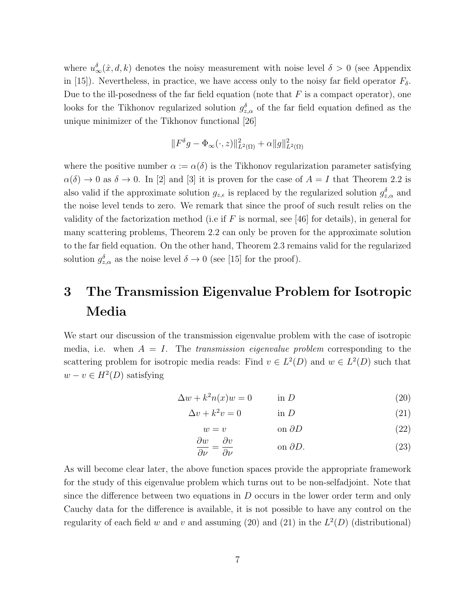where  $u_{\infty}^{\delta}(\hat{x}, d, k)$  denotes the noisy measurement with noise level  $\delta > 0$  (see Appendix in [15]). Nevertheless, in practice, we have access only to the noisy far field operator  $F_{\delta}$ . Due to the ill-posedness of the far field equation (note that  $F$  is a compact operator), one looks for the Tikhonov regularized solution  $g_{z,\alpha}^{\delta}$  of the far field equation defined as the unique minimizer of the Tikhonov functional [26]

$$
||F^{\delta}g - \Phi_{\infty}(\cdot, z)||_{L^{2}(\Omega)}^{2} + \alpha ||g||_{L^{2}(\Omega)}^{2}
$$

where the positive number  $\alpha := \alpha(\delta)$  is the Tikhonov regularization parameter satisfying  $\alpha(\delta) \to 0$  as  $\delta \to 0$ . In [2] and [3] it is proven for the case of  $A = I$  that Theorem 2.2 is also valid if the approximate solution  $g_{z,\epsilon}$  is replaced by the regularized solution  $g_{z,\alpha}^{\delta}$  and the noise level tends to zero. We remark that since the proof of such result relies on the validity of the factorization method (i.e if  $F$  is normal, see [46] for details), in general for many scattering problems, Theorem 2.2 can only be proven for the approximate solution to the far field equation. On the other hand, Theorem 2.3 remains valid for the regularized solution  $g_{z,\alpha}^{\delta}$  as the noise level  $\delta \to 0$  (see [15] for the proof).

# 3 The Transmission Eigenvalue Problem for Isotropic Media

We start our discussion of the transmission eigenvalue problem with the case of isotropic media, i.e. when  $A = I$ . The transmission eigenvalue problem corresponding to the scattering problem for isotropic media reads: Find  $v \in L^2(D)$  and  $w \in L^2(D)$  such that  $w - v \in H^2(D)$  satisfying

$$
\Delta w + k^2 n(x)w = 0 \qquad \text{in } D \tag{20}
$$

$$
\Delta v + k^2 v = 0 \qquad \text{in } D \tag{21}
$$

$$
w = v \qquad \text{on } \partial D \tag{22}
$$

$$
\frac{\partial w}{\partial \nu} = \frac{\partial v}{\partial \nu} \qquad \text{on } \partial D. \tag{23}
$$

As will become clear later, the above function spaces provide the appropriate framework for the study of this eigenvalue problem which turns out to be non-selfadjoint. Note that since the difference between two equations in  $D$  occurs in the lower order term and only Cauchy data for the difference is available, it is not possible to have any control on the regularity of each field w and v and assuming (20) and (21) in the  $L^2(D)$  (distributional)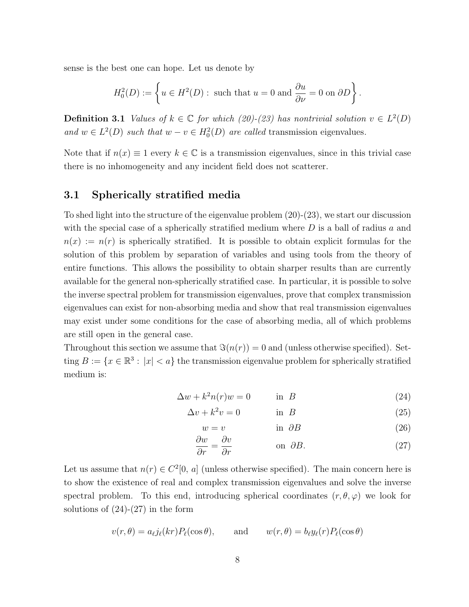sense is the best one can hope. Let us denote by

$$
H_0^2(D) := \left\{ u \in H^2(D) : \text{ such that } u = 0 \text{ and } \frac{\partial u}{\partial \nu} = 0 \text{ on } \partial D \right\}.
$$

**Definition 3.1** Values of  $k \in \mathbb{C}$  for which (20)-(23) has nontrivial solution  $v \in L^2(D)$ and  $w \in L^2(D)$  such that  $w - v \in H_0^2(D)$  are called transmission eigenvalues.

Note that if  $n(x) \equiv 1$  every  $k \in \mathbb{C}$  is a transmission eigenvalues, since in this trivial case there is no inhomogeneity and any incident field does not scatterer.

#### 3.1 Spherically stratified media

To shed light into the structure of the eigenvalue problem (20)-(23), we start our discussion with the special case of a spherically stratified medium where  $D$  is a ball of radius  $a$  and  $n(x) := n(r)$  is spherically stratified. It is possible to obtain explicit formulas for the solution of this problem by separation of variables and using tools from the theory of entire functions. This allows the possibility to obtain sharper results than are currently available for the general non-spherically stratified case. In particular, it is possible to solve the inverse spectral problem for transmission eigenvalues, prove that complex transmission eigenvalues can exist for non-absorbing media and show that real transmission eigenvalues may exist under some conditions for the case of absorbing media, all of which problems are still open in the general case.

Throughout this section we assume that  $\Im(n(r)) = 0$  and (unless otherwise specified). Setting  $B := \{x \in \mathbb{R}^3 : |x| < a\}$  the transmission eigenvalue problem for spherically stratified medium is:

$$
\Delta w + k^2 n(r)w = 0 \qquad \text{in } B \tag{24}
$$

$$
\Delta v + k^2 v = 0 \qquad \text{in } B \tag{25}
$$

$$
w = v \qquad \qquad \text{in } \partial B \tag{26}
$$

$$
\frac{\partial w}{\partial r} = \frac{\partial v}{\partial r} \qquad \text{on } \partial B. \tag{27}
$$

Let us assume that  $n(r) \in C^2[0, a]$  (unless otherwise specified). The main concern here is to show the existence of real and complex transmission eigenvalues and solve the inverse spectral problem. To this end, introducing spherical coordinates  $(r, \theta, \varphi)$  we look for solutions of  $(24)-(27)$  in the form

$$
v(r, \theta) = a_{\ell} j_{\ell}(kr) P_{\ell}(\cos \theta), \quad \text{and} \quad w(r, \theta) = b_{\ell} y_{\ell}(r) P_{\ell}(\cos \theta)
$$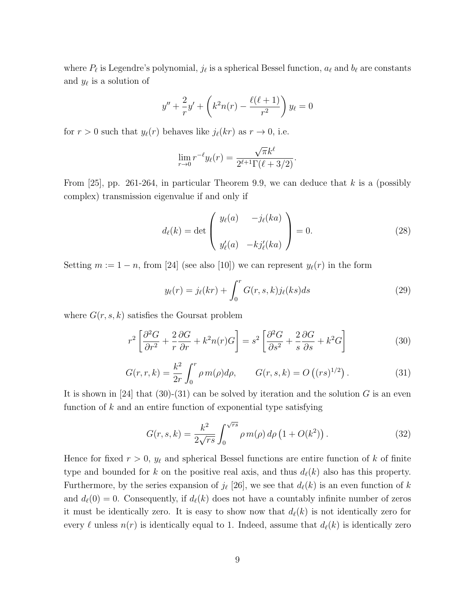where  $P_\ell$  is Legendre's polynomial,  $j_\ell$  is a spherical Bessel function,  $a_\ell$  and  $b_\ell$  are constants and  $y_{\ell}$  is a solution of

$$
y'' + \frac{2}{r}y' + \left(k^2n(r) - \frac{\ell(\ell+1)}{r^2}\right)y_{\ell} = 0
$$

for  $r > 0$  such that  $y_{\ell}(r)$  behaves like  $j_{\ell}(kr)$  as  $r \to 0$ , i.e.

$$
\lim_{r \to 0} r^{-\ell} y_{\ell}(r) = \frac{\sqrt{\pi} k^{\ell}}{2^{\ell+1} \Gamma(\ell + 3/2)}.
$$

From [25], pp. 261-264, in particular Theorem 9.9, we can deduce that k is a (possibly complex) transmission eigenvalue if and only if

$$
d_{\ell}(k) = \det \begin{pmatrix} y_{\ell}(a) & -j_{\ell}(ka) \\ y'_{\ell}(a) & -kj'_{\ell}(ka) \end{pmatrix} = 0.
$$
 (28)

Setting  $m := 1 - n$ , from [24] (see also [10]) we can represent  $y_{\ell}(r)$  in the form

$$
y_{\ell}(r) = j_{\ell}(kr) + \int_0^r G(r, s, k) j_{\ell}(ks) ds \qquad (29)
$$

where  $G(r, s, k)$  satisfies the Goursat problem

$$
r^2 \left[ \frac{\partial^2 G}{\partial r^2} + \frac{2}{r} \frac{\partial G}{\partial r} + k^2 n(r) G \right] = s^2 \left[ \frac{\partial^2 G}{\partial s^2} + \frac{2}{s} \frac{\partial G}{\partial s} + k^2 G \right]
$$
(30)

$$
G(r,r,k) = \frac{k^2}{2r} \int_0^r \rho \, m(\rho) d\rho, \qquad G(r,s,k) = O\left((rs)^{1/2}\right). \tag{31}
$$

It is shown in [24] that (30)-(31) can be solved by iteration and the solution G is an even function of  $k$  and an entire function of exponential type satisfying

$$
G(r, s, k) = \frac{k^2}{2\sqrt{rs}} \int_0^{\sqrt{rs}} \rho \, m(\rho) \, d\rho \left(1 + O(k^2)\right). \tag{32}
$$

Hence for fixed  $r > 0$ ,  $y_{\ell}$  and spherical Bessel functions are entire function of k of finite type and bounded for k on the positive real axis, and thus  $d_{\ell}(k)$  also has this property. Furthermore, by the series expansion of  $j_{\ell}$  [26], we see that  $d_{\ell}(k)$  is an even function of k and  $d_{\ell}(0) = 0$ . Consequently, if  $d_{\ell}(k)$  does not have a countably infinite number of zeros it must be identically zero. It is easy to show now that  $d_{\ell}(k)$  is not identically zero for every  $\ell$  unless  $n(r)$  is identically equal to 1. Indeed, assume that  $d_{\ell}(k)$  is identically zero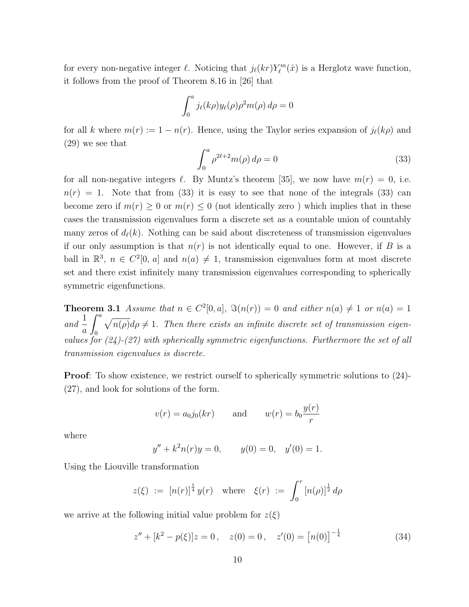for every non-negative integer  $\ell$ . Noticing that  $j_{\ell}(kr)Y_{\ell}^{m}(\hat{x})$  is a Herglotz wave function, it follows from the proof of Theorem 8.16 in [26] that

$$
\int_0^a j_\ell(k\rho) y_\ell(\rho) \rho^2 m(\rho) d\rho = 0
$$

for all k where  $m(r) := 1 - n(r)$ . Hence, using the Taylor series expansion of  $j_{\ell}(k\rho)$  and (29) we see that

$$
\int_0^a \rho^{2\ell+2} m(\rho) \, d\rho = 0 \tag{33}
$$

for all non-negative integers  $\ell$ . By Muntz's theorem [35], we now have  $m(r) = 0$ , i.e.  $n(r) = 1$ . Note that from (33) it is easy to see that none of the integrals (33) can become zero if  $m(r) \geq 0$  or  $m(r) \leq 0$  (not identically zero) which implies that in these cases the transmission eigenvalues form a discrete set as a countable union of countably many zeros of  $d_{\ell}(k)$ . Nothing can be said about discreteness of transmission eigenvalues if our only assumption is that  $n(r)$  is not identically equal to one. However, if B is a ball in  $\mathbb{R}^3$ ,  $n \in C^2[0, a]$  and  $n(a) \neq 1$ , transmission eigenvalues form at most discrete set and there exist infinitely many transmission eigenvalues corresponding to spherically symmetric eigenfunctions.

**Theorem 3.1** Assume that  $n \in C^2[0, a]$ ,  $\Im(n(r)) = 0$  and either  $n(a) \neq 1$  or  $n(a) = 1$  $and \frac{1}{x}$ a  $\int_a^a$ 0  $\sqrt{n(\rho)}d\rho \neq 1$ . Then there exists an infinite discrete set of transmission eigenvalues for (24)-(27) with spherically symmetric eigenfunctions. Furthermore the set of all transmission eigenvalues is discrete.

**Proof:** To show existence, we restrict ourself to spherically symmetric solutions to  $(24)$ -(27), and look for solutions of the form.

$$
v(r) = a_0 j_0(kr) \qquad \text{and} \qquad w(r) = b_0 \frac{y(r)}{r}
$$

where

$$
y'' + k^2 n(r)y = 0, \t y(0) = 0, \t y'(0) = 1.
$$

Using the Liouville transformation

$$
z(\xi) := [n(r)]^{\frac{1}{4}} y(r)
$$
 where  $\xi(r) := \int_0^r [n(\rho)]^{\frac{1}{2}} d\rho$ 

we arrive at the following initial value problem for  $z(\xi)$ 

$$
z'' + [k2 - p(\xi)]z = 0, \quad z(0) = 0, \quad z'(0) = [n(0)]^{-\frac{1}{4}}
$$
(34)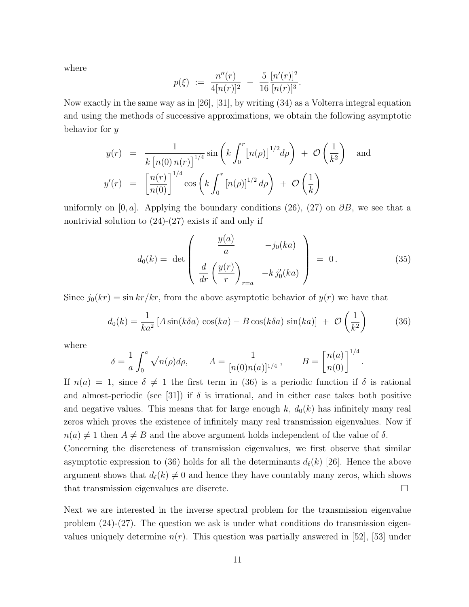where

$$
p(\xi) := \frac{n''(r)}{4[n(r)]^2} - \frac{5}{16} \frac{[n'(r)]^2}{[n(r)]^3}.
$$

Now exactly in the same way as in [26], [31], by writing (34) as a Volterra integral equation and using the methods of successive approximations, we obtain the following asymptotic behavior for y

$$
y(r) = \frac{1}{k [n(0) n(r)]^{1/4}} \sin \left( k \int_0^r [n(\rho)]^{1/2} d\rho \right) + \mathcal{O}\left(\frac{1}{k^2}\right) \text{ and}
$$
  

$$
y'(r) = \left[ \frac{n(r)}{n(0)} \right]^{1/4} \cos \left( k \int_0^r [n(\rho)]^{1/2} d\rho \right) + \mathcal{O}\left(\frac{1}{k}\right)
$$

uniformly on [0, a]. Applying the boundary conditions (26), (27) on  $\partial B$ , we see that a nontrivial solution to  $(24)-(27)$  exists if and only if

$$
d_0(k) = \det \begin{pmatrix} \frac{y(a)}{a} & -j_0(ka) \\ \frac{d}{dr} \left(\frac{y(r)}{r}\right)_{r=a} & -kj'_0(ka) \end{pmatrix} = 0.
$$
 (35)

.

Since  $j_0(kr) = \sin kr / kr$ , from the above asymptotic behavior of  $y(r)$  we have that

$$
d_0(k) = \frac{1}{ka^2} \left[ A \sin(k\delta a) \cos(ka) - B \cos(k\delta a) \sin(ka) \right] + \mathcal{O}\left(\frac{1}{k^2}\right) \tag{36}
$$

where

$$
\delta = \frac{1}{a} \int_0^a \sqrt{n(\rho)} d\rho,
$$
\n $A = \frac{1}{[n(0)n(a)]^{1/4}},$ \n $B = \left[\frac{n(a)}{n(0)}\right]^{1/4}$ 

If  $n(a) = 1$ , since  $\delta \neq 1$  the first term in (36) is a periodic function if  $\delta$  is rational and almost-periodic (see [31]) if  $\delta$  is irrational, and in either case takes both positive and negative values. This means that for large enough  $k, d_0(k)$  has infinitely many real zeros which proves the existence of infinitely many real transmission eigenvalues. Now if  $n(a) \neq 1$  then  $A \neq B$  and the above argument holds independent of the value of  $\delta$ .

Concerning the discreteness of transmission eigenvalues, we first observe that similar asymptotic expression to (36) holds for all the determinants  $d_{\ell}(k)$  [26]. Hence the above argument shows that  $d_{\ell}(k) \neq 0$  and hence they have countably many zeros, which shows that transmission eigenvalues are discrete.

Next we are interested in the inverse spectral problem for the transmission eigenvalue problem (24)-(27). The question we ask is under what conditions do transmission eigenvalues uniquely determine  $n(r)$ . This question was partially answered in [52], [53] under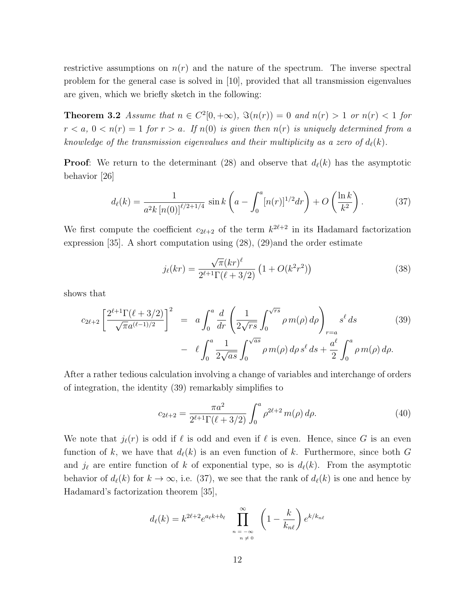restrictive assumptions on  $n(r)$  and the nature of the spectrum. The inverse spectral problem for the general case is solved in [10], provided that all transmission eigenvalues are given, which we briefly sketch in the following:

**Theorem 3.2** Assume that  $n \in C^2[0, +\infty)$ ,  $\Im(n(r)) = 0$  and  $n(r) > 1$  or  $n(r) < 1$  for  $r < a$ ,  $0 < n(r) = 1$  for  $r > a$ . If  $n(0)$  is given then  $n(r)$  is uniquely determined from a knowledge of the transmission eigenvalues and their multiplicity as a zero of  $d_{\ell}(k)$ .

**Proof:** We return to the determinant (28) and observe that  $d_{\ell}(k)$  has the asymptotic behavior [26]

$$
d_{\ell}(k) = \frac{1}{a^2 k \left[ n(0) \right]^{\ell/2 + 1/4}} \sin k \left( a - \int_0^a \left[ n(r) \right]^{1/2} dr \right) + O\left( \frac{\ln k}{k^2} \right). \tag{37}
$$

We first compute the coefficient  $c_{2\ell+2}$  of the term  $k^{2\ell+2}$  in its Hadamard factorization expression [35]. A short computation using (28), (29)and the order estimate

$$
j_{\ell}(kr) = \frac{\sqrt{\pi}(kr)^{\ell}}{2^{\ell+1}\Gamma(\ell+3/2)} \left(1 + O(k^2r^2)\right)
$$
 (38)

shows that

$$
c_{2\ell+2} \left[ \frac{2^{\ell+1} \Gamma(\ell+3/2)}{\sqrt{\pi} a^{(\ell-1)/2}} \right]^2 = a \int_0^a \frac{d}{dr} \left( \frac{1}{2\sqrt{rs}} \int_0^{\sqrt{rs}} \rho \, m(\rho) \, d\rho \right)_{r=a} s^{\ell} \, ds \tag{39}
$$

$$
- \ell \int_0^a \frac{1}{2\sqrt{as}} \int_0^{\sqrt{as}} \rho \, m(\rho) \, d\rho \, s^{\ell} \, ds + \frac{a^{\ell}}{2} \int_0^a \rho \, m(\rho) \, d\rho.
$$

After a rather tedious calculation involving a change of variables and interchange of orders of integration, the identity (39) remarkably simplifies to

$$
c_{2\ell+2} = \frac{\pi a^2}{2^{\ell+1} \Gamma(\ell+3/2)} \int_0^a \rho^{2\ell+2} m(\rho) d\rho.
$$
 (40)

We note that  $j_{\ell}(r)$  is odd if  $\ell$  is odd and even if  $\ell$  is even. Hence, since G is an even function of k, we have that  $d_{\ell}(k)$  is an even function of k. Furthermore, since both G and  $j_{\ell}$  are entire function of k of exponential type, so is  $d_{\ell}(k)$ . From the asymptotic behavior of  $d_{\ell}(k)$  for  $k \to \infty$ , i.e. (37), we see that the rank of  $d_{\ell}(k)$  is one and hence by Hadamard's factorization theorem [35],

$$
d_{\ell}(k) = k^{2\ell+2} e^{a_{\ell}k + b_{\ell}} \prod_{\substack{n = -\infty \\ n \neq 0}}^{\infty} \left(1 - \frac{k}{k_{n\ell}}\right) e^{k/k_{n\ell}}
$$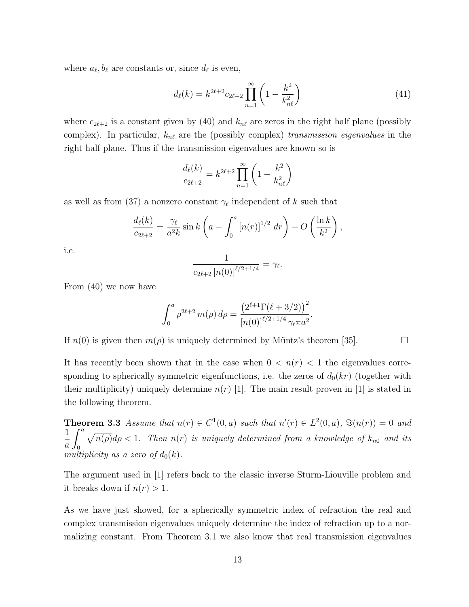where  $a_{\ell}, b_{\ell}$  are constants or, since  $d_{\ell}$  is even,

$$
d_{\ell}(k) = k^{2\ell+2} c_{2\ell+2} \prod_{n=1}^{\infty} \left( 1 - \frac{k^2}{k_{n\ell}^2} \right)
$$
 (41)

where  $c_{2\ell+2}$  is a constant given by (40) and  $k_{n\ell}$  are zeros in the right half plane (possibly complex). In particular,  $k_{n\ell}$  are the (possibly complex) transmission eigenvalues in the right half plane. Thus if the transmission eigenvalues are known so is

$$
\frac{d_\ell(k)}{c_{2\ell+2}}=k^{2\ell+2}\prod_{n=1}^\infty \left(1-\frac{k^2}{k_{n\ell}^2}\right)
$$

as well as from (37) a nonzero constant  $\gamma_{\ell}$  independent of k such that

$$
\frac{d_{\ell}(k)}{c_{2\ell+2}} = \frac{\gamma_{\ell}}{a^2 k} \sin k \left( a - \int_0^a \left[ n(r) \right]^{1/2} dr \right) + O\left( \frac{\ln k}{k^2} \right),
$$

i.e.

$$
\frac{1}{c_{2\ell+2} [n(0)]^{\ell/2+1/4}} = \gamma_{\ell}.
$$

From (40) we now have

$$
\int_0^a \rho^{2\ell+2} m(\rho) d\rho = \frac{\left(2^{\ell+1} \Gamma(\ell+3/2)\right)^2}{\left[n(0)\right]^{\ell/2+1/4} \gamma_\ell \pi a^2}.
$$

If  $n(0)$  is given then  $m(\rho)$  is uniquely determined by Müntz's theorem [35].

It has recently been shown that in the case when  $0 < n(r) < 1$  the eigenvalues corresponding to spherically symmetric eigenfunctions, i.e. the zeros of  $d_0(kr)$  (together with their multiplicity) uniquely determine  $n(r)$  [1]. The main result proven in [1] is stated in the following theorem.

**Theorem 3.3** Assume that  $n(r) \in C^1(0, a)$  such that  $n'(r) \in L^2(0, a)$ ,  $\Im(n(r)) = 0$  and 1 a  $\int_a^a$  $\boldsymbol{0}$  $\sqrt{n(\rho)}d\rho < 1$ . Then  $n(r)$  is uniquely determined from a knowledge of  $k_{n0}$  and its multiplicity as a zero of  $d_0(k)$ .

The argument used in [1] refers back to the classic inverse Sturm-Liouville problem and it breaks down if  $n(r) > 1$ .

As we have just showed, for a spherically symmetric index of refraction the real and complex transmission eigenvalues uniquely determine the index of refraction up to a normalizing constant. From Theorem 3.1 we also know that real transmission eigenvalues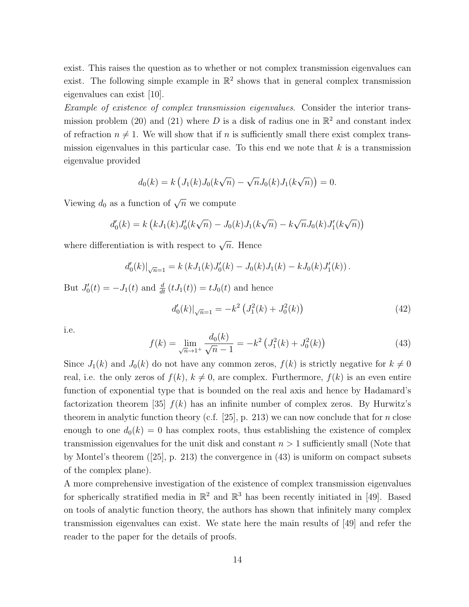exist. This raises the question as to whether or not complex transmission eigenvalues can exist. The following simple example in  $\mathbb{R}^2$  shows that in general complex transmission eigenvalues can exist [10].

Example of existence of complex transmission eigenvalues. Consider the interior transmission problem (20) and (21) where D is a disk of radius one in  $\mathbb{R}^2$  and constant index of refraction  $n \neq 1$ . We will show that if n is sufficiently small there exist complex transmission eigenvalues in this particular case. To this end we note that  $k$  is a transmission eigenvalue provided

$$
d_0(k) = k \left( J_1(k) J_0(k\sqrt{n}) - \sqrt{n} J_0(k) J_1(k\sqrt{n}) \right) = 0.
$$

Viewing  $d_0$  as a function of  $\sqrt{n}$  we compute

$$
d'_0(k) = k \left( k J_1(k) J'_0(k \sqrt{n}) - J_0(k) J_1(k \sqrt{n}) - k \sqrt{n} J_0(k) J'_1(k \sqrt{n}) \right)
$$

where differentiation is with respect to  $\sqrt{n}$ . Hence

$$
d'_0(k)|_{\sqrt{n}=1} = k(kJ_1(k)J'_0(k) - J_0(k)J_1(k) - kJ_0(k)J'_1(k)).
$$

But  $J'_0(t) = -J_1(t)$  and  $\frac{d}{dt}(tJ_1(t)) = tJ_0(t)$  and hence

$$
d_0'(k)|_{\sqrt{n}=1} = -k^2 \left( J_1^2(k) + J_0^2(k) \right) \tag{42}
$$

i.e.

$$
f(k) = \lim_{\sqrt{n}\to 1^{+}} \frac{d_0(k)}{\sqrt{n} - 1} = -k^2 \left( J_1^2(k) + J_0^2(k) \right)
$$
 (43)

Since  $J_1(k)$  and  $J_0(k)$  do not have any common zeros,  $f(k)$  is strictly negative for  $k \neq 0$ real, i.e. the only zeros of  $f(k)$ ,  $k \neq 0$ , are complex. Furthermore,  $f(k)$  is an even entire function of exponential type that is bounded on the real axis and hence by Hadamard's factorization theorem [35]  $f(k)$  has an infinite number of complex zeros. By Hurwitz's theorem in analytic function theory (c.f. [25], p. 213) we can now conclude that for n close enough to one  $d_0(k) = 0$  has complex roots, thus establishing the existence of complex transmission eigenvalues for the unit disk and constant  $n > 1$  sufficiently small (Note that by Montel's theorem ([25], p. 213) the convergence in (43) is uniform on compact subsets of the complex plane).

A more comprehensive investigation of the existence of complex transmission eigenvalues for spherically stratified media in  $\mathbb{R}^2$  and  $\mathbb{R}^3$  has been recently initiated in [49]. Based on tools of analytic function theory, the authors has shown that infinitely many complex transmission eigenvalues can exist. We state here the main results of [49] and refer the reader to the paper for the details of proofs.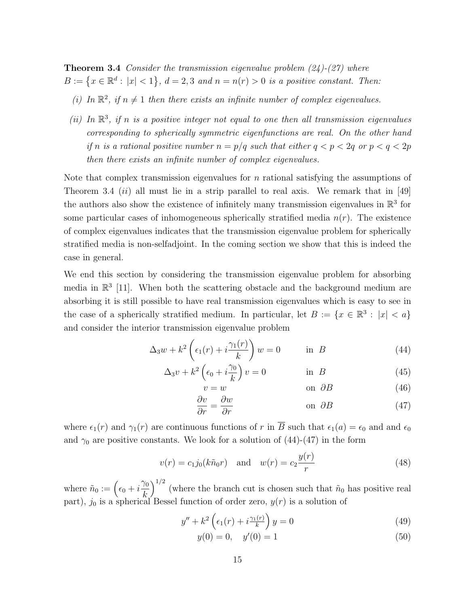**Theorem 3.4** Consider the transmission eigenvalue problem  $(24)$ - $(27)$  where  $B := \{x \in \mathbb{R}^d : |x| < 1\}, d = 2, 3 \text{ and } n = n(r) > 0 \text{ is a positive constant. Then:}$ 

- (i) In  $\mathbb{R}^2$ , if  $n \neq 1$  then there exists an infinite number of complex eigenvalues.
- (ii) In  $\mathbb{R}^3$ , if n is a positive integer not equal to one then all transmission eigenvalues corresponding to spherically symmetric eigenfunctions are real. On the other hand if n is a rational positive number  $n = p/q$  such that either  $q < p < 2q$  or  $p < q < 2p$ then there exists an infinite number of complex eigenvalues.

Note that complex transmission eigenvalues for  $n$  rational satisfying the assumptions of Theorem 3.4  $(ii)$  all must lie in a strip parallel to real axis. We remark that in [49] the authors also show the existence of infinitely many transmission eigenvalues in  $\mathbb{R}^3$  for some particular cases of inhomogeneous spherically stratified media  $n(r)$ . The existence of complex eigenvalues indicates that the transmission eigenvalue problem for spherically stratified media is non-selfadjoint. In the coming section we show that this is indeed the case in general.

We end this section by considering the transmission eigenvalue problem for absorbing media in  $\mathbb{R}^3$  [11]. When both the scattering obstacle and the background medium are absorbing it is still possible to have real transmission eigenvalues which is easy to see in the case of a spherically stratified medium. In particular, let  $B := \{x \in \mathbb{R}^3 : |x| < a\}$ and consider the interior transmission eigenvalue problem

$$
\Delta_3 w + k^2 \left( \epsilon_1(r) + i \frac{\gamma_1(r)}{k} \right) w = 0 \quad \text{in } B \tag{44}
$$

$$
\Delta_3 v + k^2 \left(\epsilon_0 + i\frac{\gamma_0}{k}\right) v = 0 \qquad \text{in } B \tag{45}
$$

$$
v = w \qquad \text{on } \partial B \qquad (46)
$$

$$
\frac{\partial v}{\partial r} = \frac{\partial w}{\partial r} \qquad \text{on } \partial B \tag{47}
$$

where  $\epsilon_1(r)$  and  $\gamma_1(r)$  are continuous functions of r in  $\overline{B}$  such that  $\epsilon_1(a) = \epsilon_0$  and and  $\epsilon_0$ and  $\gamma_0$  are positive constants. We look for a solution of (44)-(47) in the form

$$
v(r) = c_1 j_0 (k \tilde{n}_0 r)
$$
 and  $w(r) = c_2 \frac{y(r)}{r}$  (48)

where  $\tilde{n}_0 := \Big(\epsilon_0 + i\Big)$  $\gamma_0$ k  $\int_{0}^{1/2}$  (where the branch cut is chosen such that  $\tilde{n}_0$  has positive real part),  $j_0$  is a spherical Bessel function of order zero,  $y(r)$  is a solution of

$$
y'' + k^2 \left(\epsilon_1(r) + i\frac{\gamma_1(r)}{k}\right)y = 0\tag{49}
$$

$$
y(0) = 0, \quad y'(0) = 1 \tag{50}
$$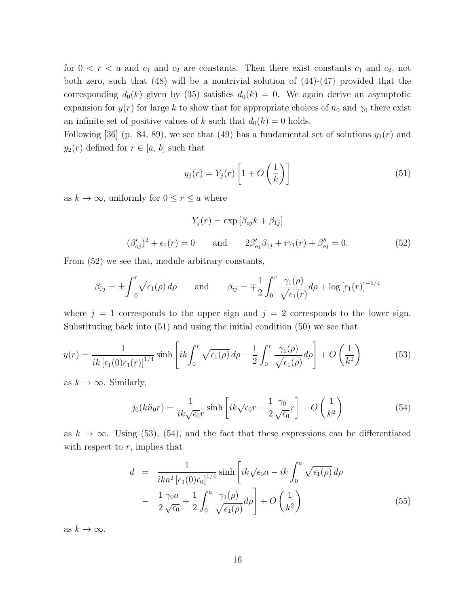for  $0 < r < a$  and  $c_1$  and  $c_2$  are constants. Then there exist constants  $c_1$  and  $c_2$ , not both zero, such that (48) will be a nontrivial solution of (44)-(47) provided that the corresponding  $d_0(k)$  given by (35) satisfies  $d_0(k) = 0$ . We again derive an asymptotic expansion for  $y(r)$  for large k to show that for appropriate choices of  $n_0$  and  $\gamma_0$  there exist an infinite set of positive values of k such that  $d_0(k) = 0$  holds.

Following [36] (p. 84, 89), we see that (49) has a fundamental set of solutions  $y_1(r)$  and  $y_2(r)$  defined for  $r \in [a, b]$  such that

$$
y_j(r) = Y_j(r) \left[ 1 + O\left(\frac{1}{k}\right) \right] \tag{51}
$$

as  $k \to \infty$ , uniformly for  $0 \le r \le a$  where

$$
Y_j(r) = \exp\left[\beta_{oj}k + \beta_{1j}\right]
$$
  

$$
(\beta'_{oj})^2 + \epsilon_1(r) = 0 \quad \text{and} \quad 2\beta'_{oj}\beta_{1j} + i\gamma_1(r) + \beta''_{oj} = 0.
$$
 (52)

From (52) we see that, module arbitrary constants,

$$
\beta_{0j} = \pm \int_0^r \sqrt{\epsilon_1(\rho)} \, d\rho \qquad \text{and} \qquad \beta_{ij} = \mp \frac{1}{2} \int_0^r \frac{\gamma_1(\rho)}{\sqrt{\epsilon_1(r)}} \, d\rho + \log \left[ \epsilon_1(r) \right]^{-1/4}
$$

where  $j = 1$  corresponds to the upper sign and  $j = 2$  corresponds to the lower sign. Substituting back into (51) and using the initial condition (50) we see that

$$
y(r) = \frac{1}{ik\left[\epsilon_1(0)\epsilon_1(r)\right]^{1/4}} \sinh\left[ik\int_0^r \sqrt{\epsilon_1(\rho)}\,d\rho - \frac{1}{2}\int_0^r \frac{\gamma_1(\rho)}{\sqrt{\epsilon_1(\rho)}}d\rho\right] + O\left(\frac{1}{k^2}\right) \tag{53}
$$

as  $k \to \infty$ . Similarly,

$$
j_0(k\tilde{n}_0r) = \frac{1}{ik\sqrt{\epsilon_0}r} \sinh\left[ik\sqrt{\epsilon_0}r - \frac{1}{2}\frac{\gamma_0}{\sqrt{\epsilon_0}}r\right] + O\left(\frac{1}{k^2}\right)
$$
(54)

as  $k \to \infty$ . Using (53), (54), and the fact that these expressions can be differentiated with respect to  $r$ , implies that

$$
d = \frac{1}{ik a^2 \left[\epsilon_1(0)\epsilon_0\right]^{1/4}} \sinh\left[i k \sqrt{\epsilon_0} a - ik \int_0^a \sqrt{\epsilon_1(\rho)} d\rho\right]
$$

$$
- \frac{1}{2} \frac{\gamma_0 a}{\sqrt{\epsilon_0}} + \frac{1}{2} \int_0^a \frac{\gamma_1(\rho)}{\sqrt{\epsilon_1(\rho)}} d\rho\right] + O\left(\frac{1}{k^2}\right)
$$
(55)

as  $k \to \infty$ .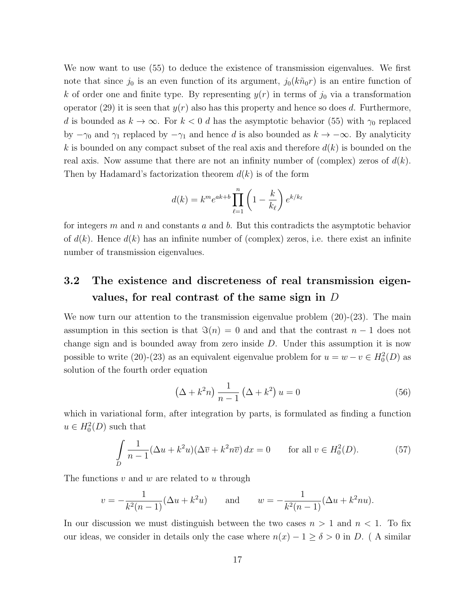We now want to use (55) to deduce the existence of transmission eigenvalues. We first note that since  $j_0$  is an even function of its argument,  $j_0(k\tilde{n}_0r)$  is an entire function of k of order one and finite type. By representing  $y(r)$  in terms of  $j_0$  via a transformation operator (29) it is seen that  $y(r)$  also has this property and hence so does d. Furthermore, d is bounded as  $k \to \infty$ . For  $k < 0$  d has the asymptotic behavior (55) with  $\gamma_0$  replaced by  $-\gamma_0$  and  $\gamma_1$  replaced by  $-\gamma_1$  and hence d is also bounded as  $k \to -\infty$ . By analyticity k is bounded on any compact subset of the real axis and therefore  $d(k)$  is bounded on the real axis. Now assume that there are not an infinity number of (complex) zeros of  $d(k)$ . Then by Hadamard's factorization theorem  $d(k)$  is of the form

$$
d(k) = k^m e^{ak+b} \prod_{\ell=1}^n \left(1 - \frac{k}{k_\ell}\right) e^{k/k_\ell}
$$

for integers m and n and constants a and b. But this contradicts the asymptotic behavior of  $d(k)$ . Hence  $d(k)$  has an infinite number of (complex) zeros, i.e. there exist an infinite number of transmission eigenvalues.

## 3.2 The existence and discreteness of real transmission eigenvalues, for real contrast of the same sign in D

We now turn our attention to the transmission eigenvalue problem  $(20)-(23)$ . The main assumption in this section is that  $\Im(n) = 0$  and and that the contrast  $n - 1$  does not change sign and is bounded away from zero inside D. Under this assumption it is now possible to write (20)-(23) as an equivalent eigenvalue problem for  $u = w - v \in H_0^2(D)$  as solution of the fourth order equation

$$
\left(\Delta + k^2 n\right) \frac{1}{n-1} \left(\Delta + k^2\right) u = 0 \tag{56}
$$

which in variational form, after integration by parts, is formulated as finding a function  $u \in H_0^2(D)$  such that

$$
\int_{D} \frac{1}{n-1} (\Delta u + k^2 u)(\Delta \overline{v} + k^2 n \overline{v}) dx = 0 \quad \text{for all } v \in H_0^2(D). \tag{57}
$$

The functions  $v$  and  $w$  are related to  $u$  through

$$
v = -\frac{1}{k^2(n-1)}(\Delta u + k^2 u)
$$
 and  $w = -\frac{1}{k^2(n-1)}(\Delta u + k^2 nu).$ 

In our discussion we must distinguish between the two cases  $n > 1$  and  $n < 1$ . To fix our ideas, we consider in details only the case where  $n(x) - 1 \ge \delta > 0$  in D. (A similar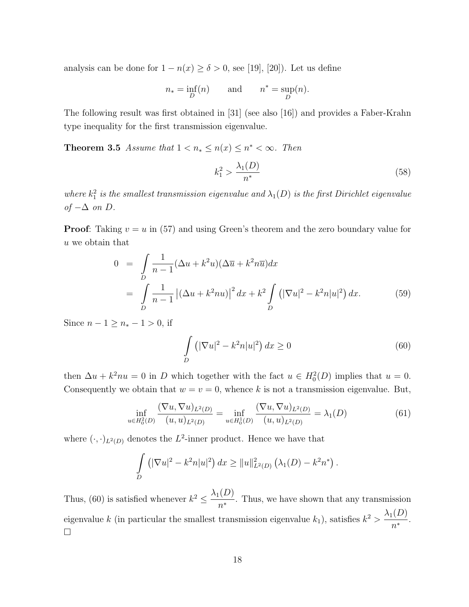analysis can be done for  $1 - n(x) \ge \delta > 0$ , see [19], [20]). Let us define

$$
n_* = \inf_D(n) \qquad \text{and} \qquad n^* = \sup_D(n).
$$

The following result was first obtained in [31] (see also [16]) and provides a Faber-Krahn type inequality for the first transmission eigenvalue.

**Theorem 3.5** Assume that  $1 < n_* \leq n(x) \leq n^* < \infty$ . Then

$$
k_1^2 > \frac{\lambda_1(D)}{n^*} \tag{58}
$$

where  $k_1^2$  is the smallest transmission eigenvalue and  $\lambda_1(D)$  is the first Dirichlet eigenvalue of  $-\Delta$  on D.

**Proof:** Taking  $v = u$  in (57) and using Green's theorem and the zero boundary value for u we obtain that

$$
0 = \int_{D} \frac{1}{n-1} (\Delta u + k^2 u)(\Delta \overline{u} + k^2 n \overline{u}) dx
$$
  
= 
$$
\int_{D} \frac{1}{n-1} |(\Delta u + k^2 n u)|^2 dx + k^2 \int_{D} (|\nabla u|^2 - k^2 n |u|^2) dx.
$$
 (59)

Since  $n - 1 \ge n_* - 1 > 0$ , if

$$
\int\limits_D \left( |\nabla u|^2 - k^2 n |u|^2 \right) dx \ge 0 \tag{60}
$$

then  $\Delta u + k^2 n u = 0$  in D which together with the fact  $u \in H_0^2(D)$  implies that  $u = 0$ . Consequently we obtain that  $w = v = 0$ , whence k is not a transmission eigenvalue. But,

$$
\inf_{u \in H_0^2(D)} \frac{(\nabla u, \nabla u)_{L^2(D)}}{(u, u)_{L^2(D)}} = \inf_{u \in H_0^1(D)} \frac{(\nabla u, \nabla u)_{L^2(D)}}{(u, u)_{L^2(D)}} = \lambda_1(D) \tag{61}
$$

where  $(\cdot, \cdot)_{L^2(D)}$  denotes the  $L^2$ -inner product. Hence we have that

$$
\int_{D} \left( |\nabla u|^2 - k^2 n |u|^2 \right) dx \ge ||u||^2_{L^2(D)} \left( \lambda_1(D) - k^2 n^* \right).
$$

Thus, (60) is satisfied whenever  $k^2 \n\t\leq \frac{\lambda_1(D)}{n}$  $\frac{1}{n^*}$ . Thus, we have shown that any transmission eigenvalue k (in particular the smallest transmission eigenvalue  $k_1$ ), satisfies  $k^2 > \frac{\lambda_1(D)}{n^*}$  $rac{N}{n^*}$ .  $\Box$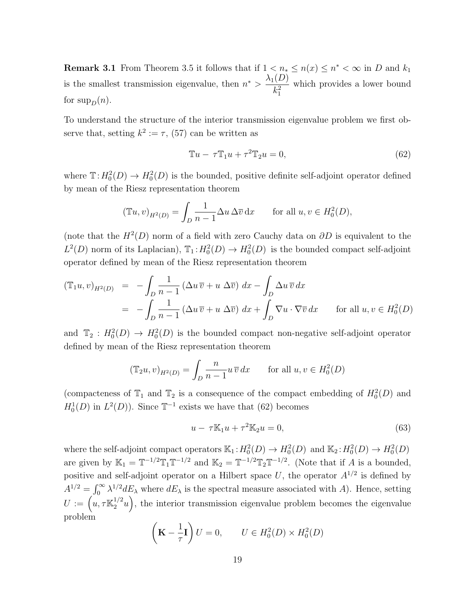**Remark 3.1** From Theorem 3.5 it follows that if  $1 < n_* \leq n(x) \leq n^* < \infty$  in D and  $k_1$ is the smallest transmission eigenvalue, then  $n^* > \frac{\lambda_1(D)}{L^2}$  $k_1^2$ which provides a lower bound for  $\sup_D(n)$ .

To understand the structure of the interior transmission eigenvalue problem we first observe that, setting  $k^2 := \tau$ , (57) can be written as

$$
\mathbb{T}u - \tau \mathbb{T}_1 u + \tau^2 \mathbb{T}_2 u = 0,\tag{62}
$$

where  $\mathbb{T}: H_0^2(D) \to H_0^2(D)$  is the bounded, positive definite self-adjoint operator defined by mean of the Riesz representation theorem

$$
(\mathbb{T}u, v)_{H^2(D)} = \int_D \frac{1}{n-1} \Delta u \, \Delta \overline{v} \, \mathrm{d}x \qquad \text{for all } u, v \in H^2_0(D),
$$

(note that the  $H^2(D)$  norm of a field with zero Cauchy data on  $\partial D$  is equivalent to the  $L^2(D)$  norm of its Laplacian),  $\mathbb{T}_1: H_0^2(D) \to H_0^2(D)$  is the bounded compact self-adjoint operator defined by mean of the Riesz representation theorem

$$
(\mathbb{T}_1 u, v)_{H^2(D)} = -\int_D \frac{1}{n-1} \left(\Delta u \,\overline{v} + u \,\Delta \overline{v}\right) dx - \int_D \Delta u \,\overline{v} \, dx
$$
  

$$
= -\int_D \frac{1}{n-1} \left(\Delta u \,\overline{v} + u \,\Delta \overline{v}\right) dx + \int_D \nabla u \cdot \nabla \overline{v} \, dx \qquad \text{for all } u, v \in H^2_0(D)
$$

and  $\mathbb{T}_2: H_0^2(D) \to H_0^2(D)$  is the bounded compact non-negative self-adjoint operator defined by mean of the Riesz representation theorem

$$
(\mathbb{T}_2 u, v)_{H^2(D)} = \int_D \frac{n}{n-1} u \,\overline{v} \, dx \qquad \text{for all } u, v \in H^2_0(D)
$$

(compacteness of  $\mathbb{T}_1$  and  $\mathbb{T}_2$  is a consequence of the compact embedding of  $H_0^2(D)$  and  $H_0^1(D)$  in  $L^2(D)$ ). Since  $\mathbb{T}^{-1}$  exists we have that (62) becomes

$$
u - \tau \mathbb{K}_1 u + \tau^2 \mathbb{K}_2 u = 0,
$$
\n
$$
(63)
$$

where the self-adjoint compact operators  $\mathbb{K}_1$ :  $H_0^2(D) \to H_0^2(D)$  and  $\mathbb{K}_2$ :  $H_0^2(D) \to H_0^2(D)$ are given by  $\mathbb{K}_1 = \mathbb{T}^{-1/2} \mathbb{T}_1 \mathbb{T}^{-1/2}$  and  $\mathbb{K}_2 = \mathbb{T}^{-1/2} \mathbb{T}_2 \mathbb{T}^{-1/2}$ . (Note that if A is a bounded, positive and self-adjoint operator on a Hilbert space U, the operator  $A^{1/2}$  is defined by  $A^{1/2} = \int_0^\infty \lambda^{1/2} dE_\lambda$  where  $dE_\lambda$  is the spectral measure associated with A). Hence, setting  $U := (u, \tau \mathbb{K}_2^{1/2} u)$ , the interior transmission eigenvalue problem becomes the eigenvalue problem

$$
\left(\mathbf{K} - \frac{1}{\tau}\mathbf{I}\right)U = 0, \qquad U \in H_0^2(D) \times H_0^2(D)
$$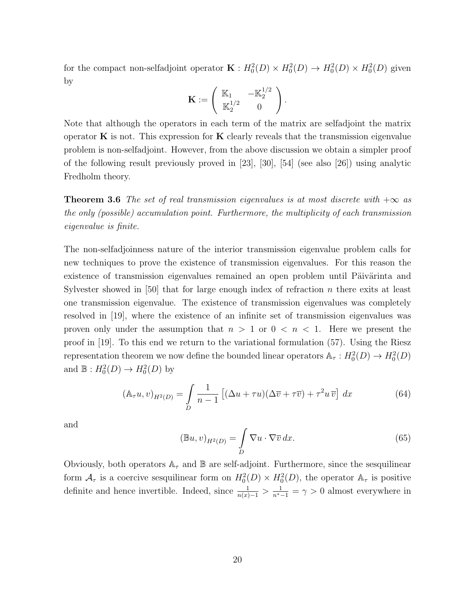for the compact non-selfadjoint operator  $\mathbf{K}: H_0^2(D) \times H_0^2(D) \to H_0^2(D) \times H_0^2(D)$  given by

$$
\mathbf{K}:=\left(\begin{array}{cc}\mathbb{K}_1 & -\mathbb{K}_2^{1/2}\\ \mathbb{K}_2^{1/2} & 0\end{array}\right).
$$

Note that although the operators in each term of the matrix are selfadjoint the matrix operator  $\bf{K}$  is not. This expression for  $\bf{K}$  clearly reveals that the transmission eigenvalue problem is non-selfadjoint. However, from the above discussion we obtain a simpler proof of the following result previously proved in [23], [30], [54] (see also [26]) using analytic Fredholm theory.

**Theorem 3.6** The set of real transmission eigenvalues is at most discrete with  $+\infty$  as the only (possible) accumulation point. Furthermore, the multiplicity of each transmission eigenvalue is finite.

The non-selfadjoinness nature of the interior transmission eigenvalue problem calls for new techniques to prove the existence of transmission eigenvalues. For this reason the existence of transmission eigenvalues remained an open problem until Päivärinta and Sylvester showed in [50] that for large enough index of refraction  $n$  there exits at least one transmission eigenvalue. The existence of transmission eigenvalues was completely resolved in [19], where the existence of an infinite set of transmission eigenvalues was proven only under the assumption that  $n > 1$  or  $0 < n < 1$ . Here we present the proof in [19]. To this end we return to the variational formulation (57). Using the Riesz representation theorem we now define the bounded linear operators  $\mathbb{A}_{\tau}: H_0^2(D) \to H_0^2(D)$ and  $\mathbb{B}: H_0^2(D) \to H_0^2(D)$  by

$$
(\mathbb{A}_{\tau}u, v)_{H^2(D)} = \int_{D} \frac{1}{n-1} \left[ (\Delta u + \tau u)(\Delta \overline{v} + \tau \overline{v}) + \tau^2 u \,\overline{v} \right] dx \tag{64}
$$

and

$$
(\mathbb{B}u, v)_{H^2(D)} = \int_D \nabla u \cdot \nabla \overline{v} \, dx. \tag{65}
$$

Obviously, both operators  $A_{\tau}$  and  $B$  are self-adjoint. Furthermore, since the sesquilinear form  $\mathcal{A}_{\tau}$  is a coercive sesquilinear form on  $H_0^2(D) \times H_0^2(D)$ , the operator  $\mathbb{A}_{\tau}$  is positive definite and hence invertible. Indeed, since  $\frac{1}{n(x)-1} > \frac{1}{n^*-1} = \gamma > 0$  almost everywhere in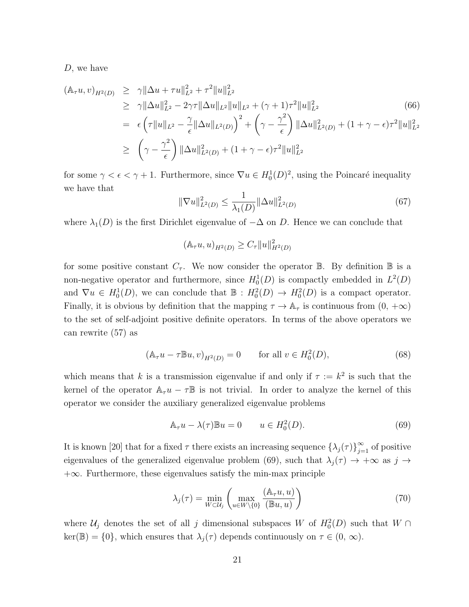D, we have

$$
(\mathbb{A}_{\tau} u, v)_{H^2(D)} \geq \gamma \|\Delta u + \tau u\|_{L^2}^2 + \tau^2 \|u\|_{L^2}^2
$$
  
\n
$$
\geq \gamma \|\Delta u\|_{L^2}^2 - 2\gamma \tau \|\Delta u\|_{L^2} \|u\|_{L^2} + (\gamma + 1)\tau^2 \|u\|_{L^2}^2
$$
  
\n
$$
= \epsilon \left(\tau \|u\|_{L^2} - \frac{\gamma}{\epsilon} \|\Delta u\|_{L^2(D)}\right)^2 + \left(\gamma - \frac{\gamma^2}{\epsilon}\right) \|\Delta u\|_{L^2(D)}^2 + (1 + \gamma - \epsilon)\tau^2 \|u\|_{L^2}^2
$$
  
\n
$$
\geq \left(\gamma - \frac{\gamma^2}{\epsilon}\right) \|\Delta u\|_{L^2(D)}^2 + (1 + \gamma - \epsilon)\tau^2 \|u\|_{L^2}^2
$$
 (66)

for some  $\gamma < \epsilon < \gamma + 1$ . Furthermore, since  $\nabla u \in H_0^1(D)^2$ , using the Poincaré inequality we have that

$$
\|\nabla u\|_{L^2(D)}^2 \le \frac{1}{\lambda_1(D)} \|\Delta u\|_{L^2(D)}^2 \tag{67}
$$

where  $\lambda_1(D)$  is the first Dirichlet eigenvalue of  $-\Delta$  on D. Hence we can conclude that

$$
(\mathbb{A}_{\tau}u, u)_{H^2(D)} \ge C_{\tau} ||u||^2_{H^2(D)}
$$

for some positive constant  $C_{\tau}$ . We now consider the operator  $\mathbb{B}$ . By definition  $\mathbb{B}$  is a non-negative operator and furthermore, since  $H_0^1(D)$  is compactly embedded in  $L^2(D)$ and  $\nabla u \in H_0^1(D)$ , we can conclude that  $\mathbb{B}: H_0^2(D) \to H_0^2(D)$  is a compact operator. Finally, it is obvious by definition that the mapping  $\tau \to \mathbb{A}_{\tau}$  is continuous from  $(0, +\infty)$ to the set of self-adjoint positive definite operators. In terms of the above operators we can rewrite (57) as

$$
\left(\mathbb{A}_{\tau}u - \tau \mathbb{B}u, v\right)_{H^2(D)} = 0 \qquad \text{for all } v \in H_0^2(D),\tag{68}
$$

which means that k is a transmission eigenvalue if and only if  $\tau := k^2$  is such that the kernel of the operator  $A_{\tau}u - \tau \mathbb{B}$  is not trivial. In order to analyze the kernel of this operator we consider the auxiliary generalized eigenvalue problems

$$
\mathbb{A}_{\tau}u - \lambda(\tau)\mathbb{B}u = 0 \qquad u \in H_0^2(D). \tag{69}
$$

It is known [20] that for a fixed  $\tau$  there exists an increasing sequence  $\{\lambda_j(\tau)\}_{j=1}^{\infty}$  of positive eigenvalues of the generalized eigenvalue problem (69), such that  $\lambda_j(\tau) \to +\infty$  as  $j \to$  $+\infty$ . Furthermore, these eigenvalues satisfy the min-max principle

$$
\lambda_j(\tau) = \min_{W \subset \mathcal{U}_j} \left( \max_{u \in W \setminus \{0\}} \frac{(\mathbb{A}_{\tau} u, u)}{(\mathbb{B}_u, u)} \right) \tag{70}
$$

where  $\mathcal{U}_j$  denotes the set of all j dimensional subspaces W of  $H_0^2(D)$  such that  $W \cap$  $\ker(\mathbb{B}) = \{0\}$ , which ensures that  $\lambda_j(\tau)$  depends continuously on  $\tau \in (0, \infty)$ .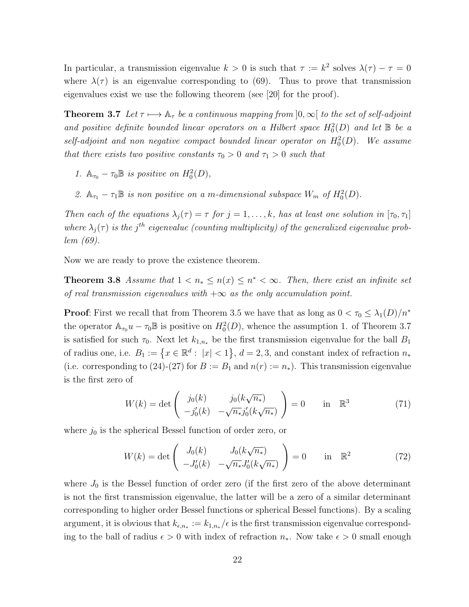In particular, a transmission eigenvalue  $k > 0$  is such that  $\tau := k^2$  solves  $\lambda(\tau) - \tau = 0$ where  $\lambda(\tau)$  is an eigenvalue corresponding to (69). Thus to prove that transmission eigenvalues exist we use the following theorem (see [20] for the proof).

**Theorem 3.7** Let  $\tau \mapsto A_{\tau}$  be a continuous mapping from  $[0, \infty)$  to the set of self-adjoint and positive definite bounded linear operators on a Hilbert space  $H_0^2(D)$  and let  $\mathbb B$  be a self-adjoint and non negative compact bounded linear operator on  $H_0^2(D)$ . We assume that there exists two positive constants  $\tau_0 > 0$  and  $\tau_1 > 0$  such that

- 1.  $\mathbb{A}_{\tau_0} \tau_0 \mathbb{B}$  is positive on  $H_0^2(D)$ ,
- 2.  $\mathbb{A}_{\tau_1} \tau_1 \mathbb{B}$  is non positive on a m-dimensional subspace  $W_m$  of  $H_0^2(D)$ .

Then each of the equations  $\lambda_j(\tau) = \tau$  for  $j = 1, \ldots, k$ , has at least one solution in  $[\tau_0, \tau_1]$ where  $\lambda_j(\tau)$  is the j<sup>th</sup> eigenvalue (counting multiplicity) of the generalized eigenvalue problem (69).

Now we are ready to prove the existence theorem.

**Theorem 3.8** Assume that  $1 < n_* \leq n(x) \leq n^* < \infty$ . Then, there exist an infinite set of real transmission eigenvalues with  $+\infty$  as the only accumulation point.

**Proof:** First we recall that from Theorem 3.5 we have that as long as  $0 < \tau_0 \leq \lambda_1(D)/n^*$ the operator  $\mathbb{A}_{\tau_0}u - \tau_0\mathbb{B}$  is positive on  $H_0^2(D)$ , whence the assumption 1. of Theorem 3.7 is satisfied for such  $\tau_0$ . Next let  $k_{1,n*}$  be the first transmission eigenvalue for the ball  $B_1$ of radius one, i.e.  $B_1 := \{x \in \mathbb{R}^d : |x| < 1\}, d = 2, 3$ , and constant index of refraction  $n_*$ (i.e. corresponding to (24)-(27) for  $B := B_1$  and  $n(r) := n_*$ ). This transmission eigenvalue is the first zero of

$$
W(k) = \det \begin{pmatrix} j_0(k) & j_0(k\sqrt{n_*}) \\ -j'_0(k) & -\sqrt{n_*}j'_0(k\sqrt{n_*}) \end{pmatrix} = 0 \quad \text{in} \quad \mathbb{R}^3
$$
 (71)

where  $j_0$  is the spherical Bessel function of order zero, or

$$
W(k) = \det \begin{pmatrix} J_0(k) & J_0(k\sqrt{n_*}) \\ -J'_0(k) & -\sqrt{n_*}J'_0(k\sqrt{n_*}) \end{pmatrix} = 0 \quad \text{in} \quad \mathbb{R}^2
$$
 (72)

where  $J_0$  is the Bessel function of order zero (if the first zero of the above determinant is not the first transmission eigenvalue, the latter will be a zero of a similar determinant corresponding to higher order Bessel functions or spherical Bessel functions). By a scaling argument, it is obvious that  $k_{\epsilon,n_*} := k_{1,n_*}/\epsilon$  is the first transmission eigenvalue corresponding to the ball of radius  $\epsilon > 0$  with index of refraction  $n_{*}$ . Now take  $\epsilon > 0$  small enough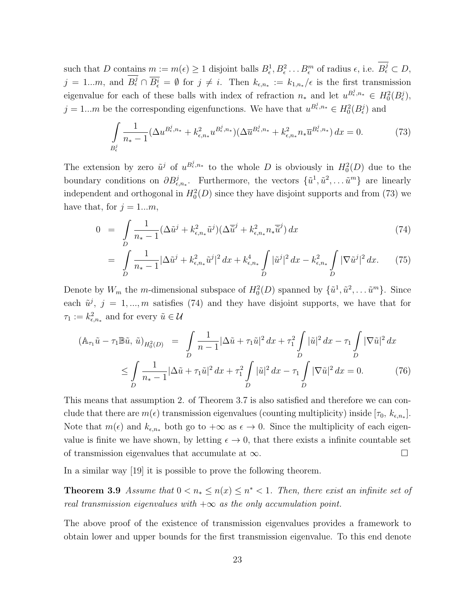such that D contains  $m := m(\epsilon) \ge 1$  disjoint balls  $B_{\epsilon}^1, B_{\epsilon}^2 \dots B_{\epsilon}^m$  of radius  $\epsilon$ , i.e.  $B_{\epsilon}^j \subset D$ ,  $j = 1...m$ , and  $B_{\epsilon}^{j} \cap \overline{B_{\epsilon}^{i}} = \emptyset$  for  $j \neq i$ . Then  $k_{\epsilon,n_{*}} := k_{1,n_{*}}/\epsilon$  is the first transmission eigenvalue for each of these balls with index of refraction  $n_*$  and let  $u^{B_{\epsilon}^j, n_*} \in H_0^2(B_{\epsilon}^j)$ ,  $j = 1...m$  be the corresponding eigenfunctions. We have that  $u^{B_{\epsilon}^j, n_*} \in H_0^2(B_{\epsilon}^j)$  and

$$
\int_{B_{\epsilon}^{j}} \frac{1}{n_{*}-1} (\Delta u^{B_{\epsilon}^{j},n_{*}} + k_{\epsilon,n_{*}}^{2} u^{B_{\epsilon}^{j},n_{*}}) (\Delta \overline{u}^{B_{\epsilon}^{j},n_{*}} + k_{\epsilon,n_{*}}^{2} n_{*} \overline{u}^{B_{\epsilon}^{j},n_{*}}) dx = 0.
$$
\n(73)

The extension by zero  $\tilde{u}^j$  of  $u^{B_\epsilon^j, n_*}$  to the whole D is obviously in  $H_0^2(D)$  due to the boundary conditions on  $\partial B_{\epsilon,n_*}^j$ . Furthermore, the vectors  $\{\tilde{u}^1,\tilde{u}^2,\ldots\tilde{u}^m\}$  are linearly independent and orthogonal in  $H_0^2(D)$  since they have disjoint supports and from (73) we have that, for  $j = 1...m$ ,

$$
0 = \int\limits_{D} \frac{1}{n_*-1} (\Delta \tilde{u}^j + k_{\epsilon,n_*}^2 \tilde{u}^j)(\Delta \overline{\tilde{u}}^j + k_{\epsilon,n_*}^2 n_* \overline{\tilde{u}}^j) dx \tag{74}
$$

$$
= \int_{D} \frac{1}{n_{*}-1} |\Delta \tilde{u}^{j} + k_{\epsilon,n_{*}}^{2} \tilde{u}^{j}|^{2} dx + k_{\epsilon,n_{*}}^{4} \int_{D} |\tilde{u}^{j}|^{2} dx - k_{\epsilon,n_{*}}^{2} \int_{D} |\nabla \tilde{u}^{j}|^{2} dx. \tag{75}
$$

Denote by  $W_m$  the m-dimensional subspace of  $H_0^2(D)$  spanned by  $\{\tilde{u}^1, \tilde{u}^2, \ldots \tilde{u}^m\}$ . Since each  $\tilde{u}^j$ ,  $j = 1, ..., m$  satisfies (74) and they have disjoint supports, we have that for  $\tau_1 := k_{\epsilon,n_*}^2$  and for every  $\tilde{u} \in \mathcal{U}$ 

$$
(\mathbb{A}_{\tau_1}\tilde{u} - \tau_1 \mathbb{B}\tilde{u}, \tilde{u})_{H_0^2(D)} = \int_D \frac{1}{n-1} |\Delta \tilde{u} + \tau_1 \tilde{u}|^2 dx + \tau_1^2 \int_D |\tilde{u}|^2 dx - \tau_1 \int_D |\nabla \tilde{u}|^2 dx
$$
  

$$
\leq \int_D \frac{1}{n_*-1} |\Delta \tilde{u} + \tau_1 \tilde{u}|^2 dx + \tau_1^2 \int_D |\tilde{u}|^2 dx - \tau_1 \int_D |\nabla \tilde{u}|^2 dx = 0.
$$
 (76)

This means that assumption 2. of Theorem 3.7 is also satisfied and therefore we can conclude that there are  $m(\epsilon)$  transmission eigenvalues (counting multiplicity) inside  $[\tau_0, k_{\epsilon,n_*}]$ . Note that  $m(\epsilon)$  and  $k_{\epsilon,n*}$  both go to  $+\infty$  as  $\epsilon \to 0$ . Since the multiplicity of each eigenvalue is finite we have shown, by letting  $\epsilon \to 0$ , that there exists a infinite countable set of transmission eigenvalues that accumulate at  $\infty$ .

In a similar way [19] it is possible to prove the following theorem.

**Theorem 3.9** Assume that  $0 < n_* \leq n(x) \leq n^* < 1$ . Then, there exist an infinite set of real transmission eigenvalues with  $+\infty$  as the only accumulation point.

The above proof of the existence of transmission eigenvalues provides a framework to obtain lower and upper bounds for the first transmission eigenvalue. To this end denote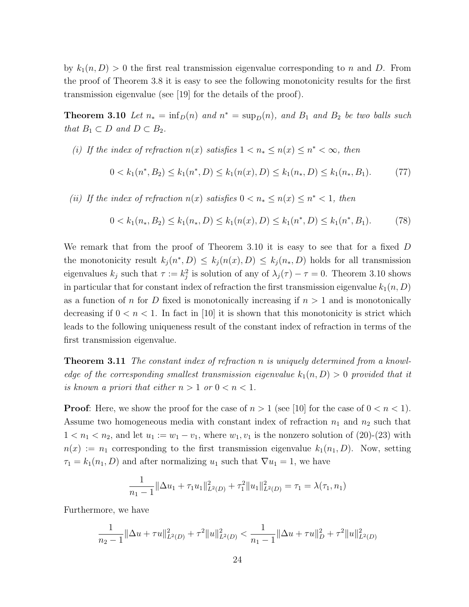by  $k_1(n, D) > 0$  the first real transmission eigenvalue corresponding to n and D. From the proof of Theorem 3.8 it is easy to see the following monotonicity results for the first transmission eigenvalue (see [19] for the details of the proof).

**Theorem 3.10** Let  $n_* = \inf_D(n)$  and  $n^* = \sup_D(n)$ , and  $B_1$  and  $B_2$  be two balls such that  $B_1 \subset D$  and  $D \subset B_2$ .

(i) If the index of refraction  $n(x)$  satisfies  $1 < n_* \leq n(x) \leq n^* < \infty$ , then

$$
0 < k_1(n^*, B_2) \le k_1(n^*, D) \le k_1(n(x), D) \le k_1(n_*, D) \le k_1(n_*, B_1). \tag{77}
$$

(ii) If the index of refraction  $n(x)$  satisfies  $0 < n_* \leq n(x) \leq n^* < 1$ , then

$$
0 < k_1(n_*, B_2) \le k_1(n_*, D) \le k_1(n(x), D) \le k_1(n^*, D) \le k_1(n^*, B_1). \tag{78}
$$

We remark that from the proof of Theorem 3.10 it is easy to see that for a fixed D the monotonicity result  $k_j(n^*, D) \leq k_j(n(x), D) \leq k_j(n_*, D)$  holds for all transmission eigenvalues  $k_j$  such that  $\tau := k_j^2$  is solution of any of  $\lambda_j(\tau) - \tau = 0$ . Theorem 3.10 shows in particular that for constant index of refraction the first transmission eigenvalue  $k_1(n, D)$ as a function of n for D fixed is monotonically increasing if  $n > 1$  and is monotonically decreasing if  $0 < n < 1$ . In fact in [10] it is shown that this monotonicity is strict which leads to the following uniqueness result of the constant index of refraction in terms of the first transmission eigenvalue.

**Theorem 3.11** The constant index of refraction n is uniquely determined from a knowledge of the corresponding smallest transmission eigenvalue  $k_1(n, D) > 0$  provided that it is known a priori that either  $n > 1$  or  $0 < n < 1$ .

**Proof:** Here, we show the proof for the case of  $n > 1$  (see [10] for the case of  $0 < n < 1$ ). Assume two homogeneous media with constant index of refraction  $n_1$  and  $n_2$  such that  $1 < n_1 < n_2$ , and let  $u_1 := w_1 - v_1$ , where  $w_1, v_1$  is the nonzero solution of  $(20)$ - $(23)$  with  $n(x) := n_1$  corresponding to the first transmission eigenvalue  $k_1(n_1, D)$ . Now, setting  $\tau_1 = k_1(n_1, D)$  and after normalizing  $u_1$  such that  $\nabla u_1 = 1$ , we have

$$
\frac{1}{n_1 - 1} \|\Delta u_1 + \tau_1 u_1\|_{L^2(D)}^2 + \tau_1^2 \|u_1\|_{L^2(D)}^2 = \tau_1 = \lambda(\tau_1, n_1)
$$

Furthermore, we have

$$
\frac{1}{n_2-1} \|\Delta u + \tau u\|_{L^2(D)}^2 + \tau^2 \|u\|_{L^2(D)}^2 < \frac{1}{n_1-1} \|\Delta u + \tau u\|_D^2 + \tau^2 \|u\|_{L^2(D)}^2
$$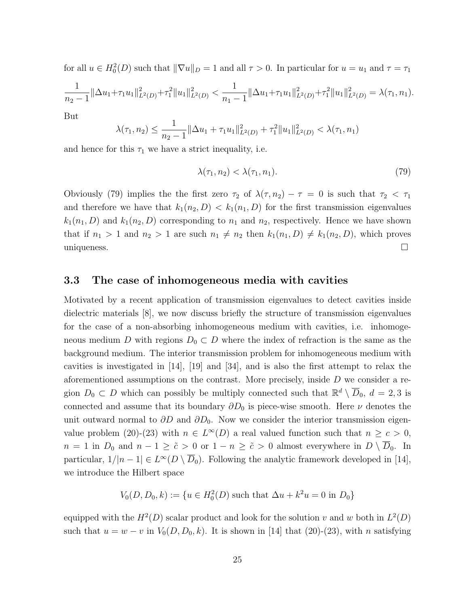for all  $u \in H_0^2(D)$  such that  $\|\nabla u\|_D = 1$  and all  $\tau > 0$ . In particular for  $u = u_1$  and  $\tau = \tau_1$ 

$$
\frac{1}{n_2-1} \|\Delta u_1 + \tau_1 u_1\|_{L^2(D)}^2 + \tau_1^2 \|u_1\|_{L^2(D)}^2 < \frac{1}{n_1-1} \|\Delta u_1 + \tau_1 u_1\|_{L^2(D)}^2 + \tau_1^2 \|u_1\|_{L^2(D)}^2 = \lambda(\tau_1, n_1).
$$

But

$$
\lambda(\tau_1, n_2) \le \frac{1}{n_2 - 1} \|\Delta u_1 + \tau_1 u_1\|_{L^2(D)}^2 + \tau_1^2 \|u_1\|_{L^2(D)}^2 < \lambda(\tau_1, n_1)
$$

and hence for this  $\tau_1$  we have a strict inequality, i.e.

$$
\lambda(\tau_1, n_2) < \lambda(\tau_1, n_1). \tag{79}
$$

Obviously (79) implies the the first zero  $\tau_2$  of  $\lambda(\tau, n_2) - \tau = 0$  is such that  $\tau_2 < \tau_1$ and therefore we have that  $k_1(n_2, D) < k_1(n_1, D)$  for the first transmission eigenvalues  $k_1(n_1, D)$  and  $k_1(n_2, D)$  corresponding to  $n_1$  and  $n_2$ , respectively. Hence we have shown that if  $n_1 > 1$  and  $n_2 > 1$  are such  $n_1 \neq n_2$  then  $k_1(n_1, D) \neq k_1(n_2, D)$ , which proves  $\Box$ uniqueness.

#### 3.3 The case of inhomogeneous media with cavities

Motivated by a recent application of transmission eigenvalues to detect cavities inside dielectric materials [8], we now discuss briefly the structure of transmission eigenvalues for the case of a non-absorbing inhomogeneous medium with cavities, i.e. inhomogeneous medium D with regions  $D_0 \subset D$  where the index of refraction is the same as the background medium. The interior transmission problem for inhomogeneous medium with cavities is investigated in [14], [19] and [34], and is also the first attempt to relax the aforementioned assumptions on the contrast. More precisely, inside  $D$  we consider a region  $D_0 \subset D$  which can possibly be multiply connected such that  $\mathbb{R}^d \setminus \overline{D}_0$ ,  $d = 2, 3$  is connected and assume that its boundary  $\partial D_0$  is piece-wise smooth. Here  $\nu$  denotes the unit outward normal to  $\partial D$  and  $\partial D_0$ . Now we consider the interior transmission eigenvalue problem (20)-(23) with  $n \in L^{\infty}(D)$  a real valued function such that  $n \geq c > 0$ ,  $n = 1$  in  $D_0$  and  $n - 1 \ge \tilde{c} > 0$  or  $1 - n \ge \tilde{c} > 0$  almost everywhere in  $D \setminus \overline{D}_0$ . In particular,  $1/|n-1| \in L^{\infty}(D \setminus \overline{D}_0)$ . Following the analytic framework developed in [14], we introduce the Hilbert space

 $V_0(D, D_0, k) := \{u \in H_0^2(D) \text{ such that } \Delta u + k^2 u = 0 \text{ in } D_0\}$ 

equipped with the  $H^2(D)$  scalar product and look for the solution v and w both in  $L^2(D)$ such that  $u = w - v$  in  $V_0(D, D_0, k)$ . It is shown in [14] that (20)-(23), with n satisfying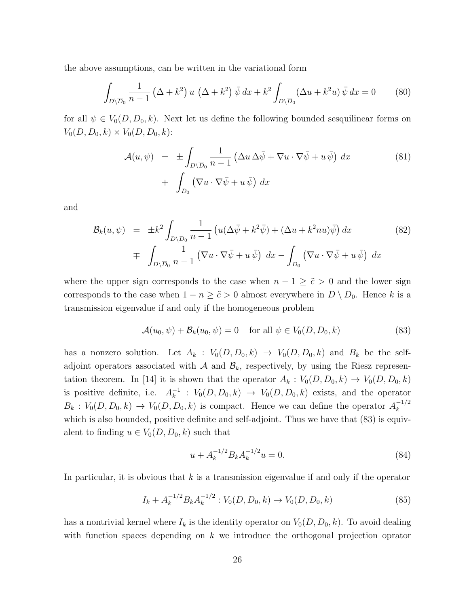the above assumptions, can be written in the variational form

$$
\int_{D\setminus\overline{D}_0} \frac{1}{n-1} \left(\Delta + k^2\right) u \left(\Delta + k^2\right) \bar{\psi} \, dx + k^2 \int_{D\setminus\overline{D}_0} \left(\Delta u + k^2 u\right) \bar{\psi} \, dx = 0 \tag{80}
$$

for all  $\psi \in V_0(D, D_0, k)$ . Next let us define the following bounded sesquilinear forms on  $V_0(D, D_0, k) \times V_0(D, D_0, k)$ :

$$
\mathcal{A}(u,\psi) = \pm \int_{D\setminus\overline{D}_0} \frac{1}{n-1} \left( \Delta u \, \Delta \bar{\psi} + \nabla u \cdot \nabla \bar{\psi} + u \, \bar{\psi} \right) dx
$$
\n
$$
+ \int_{D_0} \left( \nabla u \cdot \nabla \bar{\psi} + u \, \bar{\psi} \right) dx
$$
\n(81)

and

$$
\mathcal{B}_{k}(u,\psi) = \pm k^{2} \int_{D\setminus\overline{D}_{0}} \frac{1}{n-1} \left( u(\Delta \bar{\psi} + k^{2} \bar{\psi}) + (\Delta u + k^{2} nu) \bar{\psi} \right) dx
$$
\n
$$
\mp \int_{D\setminus\overline{D}_{0}} \frac{1}{n-1} \left( \nabla u \cdot \nabla \bar{\psi} + u \bar{\psi} \right) dx - \int_{D_{0}} \left( \nabla u \cdot \nabla \bar{\psi} + u \bar{\psi} \right) dx
$$
\n(82)

where the upper sign corresponds to the case when  $n - 1 \geq \tilde{c} > 0$  and the lower sign corresponds to the case when  $1 - n \geq \tilde{c} > 0$  almost everywhere in  $D \setminus \overline{D}_0$ . Hence k is a transmission eigenvalue if and only if the homogeneous problem

$$
\mathcal{A}(u_0, \psi) + \mathcal{B}_k(u_0, \psi) = 0 \quad \text{for all } \psi \in V_0(D, D_0, k)
$$
\n(83)

has a nonzero solution. Let  $A_k : V_0(D, D_0, k) \to V_0(D, D_0, k)$  and  $B_k$  be the selfadjoint operators associated with  $A$  and  $B_k$ , respectively, by using the Riesz representation theorem. In [14] it is shown that the operator  $A_k : V_0(D, D_0, k) \to V_0(D, D_0, k)$ is positive definite, i.e.  $A_k^{-1}$  $k_k^{-1}$ :  $V_0(D, D_0, k) \rightarrow V_0(D, D_0, k)$  exists, and the operator  $B_k: V_0(D, D_0, k) \to V_0(D, D_0, k)$  is compact. Hence we can define the operator  $A_k^{-1/2}$ k which is also bounded, positive definite and self-adjoint. Thus we have that  $(83)$  is equivalent to finding  $u \in V_0(D, D_0, k)$  such that

$$
u + A_k^{-1/2} B_k A_k^{-1/2} u = 0.
$$
\n(84)

In particular, it is obvious that  $k$  is a transmission eigenvalue if and only if the operator

$$
I_k + A_k^{-1/2} B_k A_k^{-1/2} : V_0(D, D_0, k) \to V_0(D, D_0, k)
$$
\n(85)

has a nontrivial kernel where  $I_k$  is the identity operator on  $V_0(D, D_0, k)$ . To avoid dealing with function spaces depending on  $k$  we introduce the orthogonal projection oprator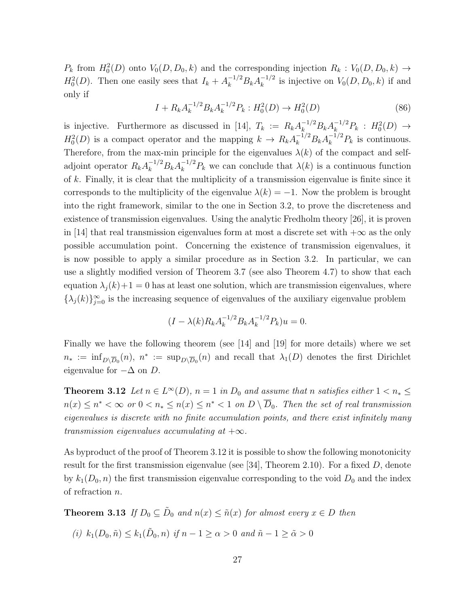$P_k$  from  $H_0^2(D)$  onto  $V_0(D, D_0, k)$  and the corresponding injection  $R_k : V_0(D, D_0, k) \to$  $H_0^2(D)$ . Then one easily sees that  $I_k + A_k^{-1/2} B_k A_k^{-1/2}$  $\binom{-1}{k}$  is injective on  $V_0(D, D_0, k)$  if and only if

$$
I + R_k A_k^{-1/2} B_k A_k^{-1/2} P_k : H_0^2(D) \to H_0^2(D)
$$
\n(86)

is injective. Furthermore as discussed in [14],  $T_k := R_k A_k^{-1/2} B_k A_k^{-1/2} P_k : H_0^2(D) \to$  $H_0^2(D)$  is a compact operator and the mapping  $k \to R_k A_k^{-1/2} B_k A_k^{-1/2} P_k$  is continuous. Therefore, from the max-min principle for the eigenvalues  $\lambda(k)$  of the compact and selfadjoint operator  $R_k A_k^{-1/2} B_k A_k^{-1/2} P_k$  we can conclude that  $\lambda(k)$  is a continuous function of  $k$ . Finally, it is clear that the multiplicity of a transmission eigenvalue is finite since it corresponds to the multiplicity of the eigenvalue  $\lambda(k) = -1$ . Now the problem is brought into the right framework, similar to the one in Section 3.2, to prove the discreteness and existence of transmission eigenvalues. Using the analytic Fredholm theory [26], it is proven in [14] that real transmission eigenvalues form at most a discrete set with  $+\infty$  as the only possible accumulation point. Concerning the existence of transmission eigenvalues, it is now possible to apply a similar procedure as in Section 3.2. In particular, we can use a slightly modified version of Theorem 3.7 (see also Theorem 4.7) to show that each equation  $\lambda_i(k)+1=0$  has at least one solution, which are transmission eigenvalues, where  $\{\lambda_j(k)\}_{j=0}^{\infty}$  is the increasing sequence of eigenvalues of the auxiliary eigenvalue problem

$$
(I - \lambda(k)R_k A_k^{-1/2}B_k A_k^{-1/2}P_k)u = 0.
$$

Finally we have the following theorem (see [14] and [19] for more details) where we set  $n_* := \inf_{D \setminus \overline{D}_0}(n)$ ,  $n^* := \sup_{D \setminus \overline{D}_0}(n)$  and recall that  $\lambda_1(D)$  denotes the first Dirichlet eigenvalue for  $-\Delta$  on D.

**Theorem 3.12** Let  $n \in L^{\infty}(D)$ ,  $n = 1$  in  $D_0$  and assume that n satisfies either  $1 < n_* \leq$  $n(x) \leq n^* < \infty$  or  $0 < n_* \leq n(x) \leq n^* < 1$  on  $D \setminus \overline{D}_0$ . Then the set of real transmission eigenvalues is discrete with no finite accumulation points, and there exist infinitely many transmission eigenvalues accumulating at  $+\infty$ .

As byproduct of the proof of Theorem 3.12 it is possible to show the following monotonicity result for the first transmission eigenvalue (see [34], Theorem 2.10). For a fixed  $D$ , denote by  $k_1(D_0, n)$  the first transmission eigenvalue corresponding to the void  $D_0$  and the index of refraction n.

**Theorem 3.13** If  $D_0 \subseteq \tilde{D}_0$  and  $n(x) \leq \tilde{n}(x)$  for almost every  $x \in D$  then

(i) 
$$
k_1(D_0, \tilde{n}) \leq k_1(\tilde{D}_0, n)
$$
 if  $n - 1 \geq \alpha > 0$  and  $\tilde{n} - 1 \geq \tilde{\alpha} > 0$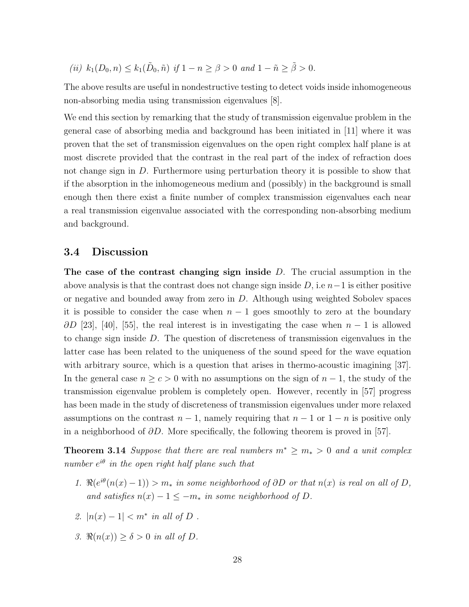(ii)  $k_1(D_0, n) \leq k_1(\tilde{D}_0, \tilde{n})$  if  $1 - n \geq \beta > 0$  and  $1 - \tilde{n} \geq \tilde{\beta} > 0$ .

The above results are useful in nondestructive testing to detect voids inside inhomogeneous non-absorbing media using transmission eigenvalues [8].

We end this section by remarking that the study of transmission eigenvalue problem in the general case of absorbing media and background has been initiated in [11] where it was proven that the set of transmission eigenvalues on the open right complex half plane is at most discrete provided that the contrast in the real part of the index of refraction does not change sign in D. Furthermore using perturbation theory it is possible to show that if the absorption in the inhomogeneous medium and (possibly) in the background is small enough then there exist a finite number of complex transmission eigenvalues each near a real transmission eigenvalue associated with the corresponding non-absorbing medium and background.

### 3.4 Discussion

The case of the contrast changing sign inside  $D$ . The crucial assumption in the above analysis is that the contrast does not change sign inside  $D$ , i.e  $n-1$  is either positive or negative and bounded away from zero in  $D$ . Although using weighted Sobolev spaces it is possible to consider the case when  $n-1$  goes smoothly to zero at the boundary  $\partial D$  [23], [40], [55], the real interest is in investigating the case when  $n-1$  is allowed to change sign inside D. The question of discreteness of transmission eigenvalues in the latter case has been related to the uniqueness of the sound speed for the wave equation with arbitrary source, which is a question that arises in thermo-acoustic imagining [37]. In the general case  $n \ge c > 0$  with no assumptions on the sign of  $n-1$ , the study of the transmission eigenvalue problem is completely open. However, recently in [57] progress has been made in the study of discreteness of transmission eigenvalues under more relaxed assumptions on the contrast  $n-1$ , namely requiring that  $n-1$  or  $1-n$  is positive only in a neighborhood of  $\partial D$ . More specifically, the following theorem is proved in [57].

**Theorem 3.14** Suppose that there are real numbers  $m^* \ge m_* > 0$  and a unit complex number  $e^{i\theta}$  in the open right half plane such that

- 1.  $\Re(e^{i\theta}(n(x)-1)) > m_*$  in some neighborhood of ∂D or that  $n(x)$  is real on all of D, and satisfies  $n(x) - 1 \leq -m_*$  in some neighborhood of D.
- 2.  $|n(x)-1| < m^*$  in all of D.
- 3.  $\Re(n(x)) \ge \delta > 0$  in all of D.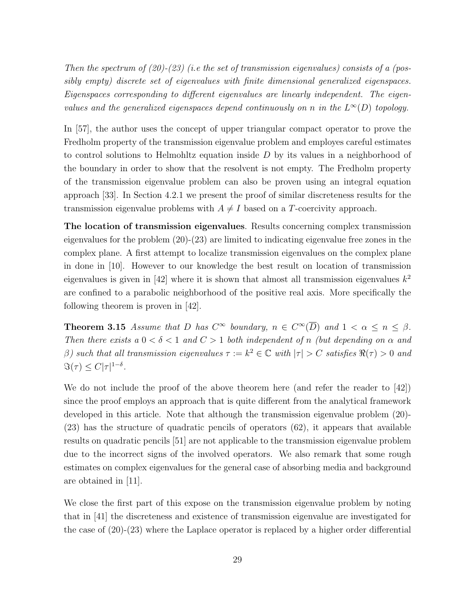Then the spectrum of  $(20)$ - $(23)$  (i.e the set of transmission eigenvalues) consists of a (possibly empty) discrete set of eigenvalues with finite dimensional generalized eigenspaces. Eigenspaces corresponding to different eigenvalues are linearly independent. The eigenvalues and the generalized eigenspaces depend continuously on n in the  $L^{\infty}(D)$  topology.

In [57], the author uses the concept of upper triangular compact operator to prove the Fredholm property of the transmission eigenvalue problem and employes careful estimates to control solutions to Helmohltz equation inside  $D$  by its values in a neighborhood of the boundary in order to show that the resolvent is not empty. The Fredholm property of the transmission eigenvalue problem can also be proven using an integral equation approach [33]. In Section 4.2.1 we present the proof of similar discreteness results for the transmission eigenvalue problems with  $A \neq I$  based on a T-coercivity approach.

The location of transmission eigenvalues. Results concerning complex transmission eigenvalues for the problem (20)-(23) are limited to indicating eigenvalue free zones in the complex plane. A first attempt to localize transmission eigenvalues on the complex plane in done in [10]. However to our knowledge the best result on location of transmission eigenvalues is given in [42] where it is shown that almost all transmission eigenvalues  $k^2$ are confined to a parabolic neighborhood of the positive real axis. More specifically the following theorem is proven in [42].

**Theorem 3.15** Assume that D has  $C^{\infty}$  boundary,  $n \in C^{\infty}(\overline{D})$  and  $1 < \alpha \leq n \leq \beta$ . Then there exists a  $0 < \delta < 1$  and  $C > 1$  both independent of n (but depending on  $\alpha$  and β) such that all transmission eigenvalues  $\tau := k^2 \in \mathbb{C}$  with  $|\tau| > C$  satisfies  $\Re(\tau) > 0$  and  $\Im(\tau) \leq C |\tau|^{1-\delta}.$ 

We do not include the proof of the above theorem here (and refer the reader to  $\vert 42 \vert$ ) since the proof employs an approach that is quite different from the analytical framework developed in this article. Note that although the transmission eigenvalue problem (20)- (23) has the structure of quadratic pencils of operators (62), it appears that available results on quadratic pencils [51] are not applicable to the transmission eigenvalue problem due to the incorrect signs of the involved operators. We also remark that some rough estimates on complex eigenvalues for the general case of absorbing media and background are obtained in [11].

We close the first part of this expose on the transmission eigenvalue problem by noting that in [41] the discreteness and existence of transmission eigenvalue are investigated for the case of (20)-(23) where the Laplace operator is replaced by a higher order differential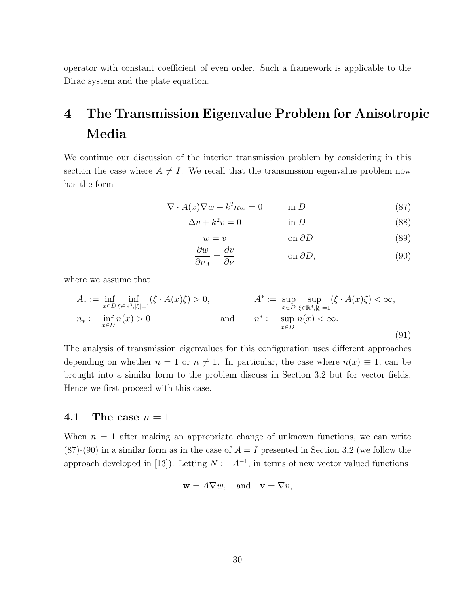operator with constant coefficient of even order. Such a framework is applicable to the Dirac system and the plate equation.

# 4 The Transmission Eigenvalue Problem for Anisotropic Media

We continue our discussion of the interior transmission problem by considering in this section the case where  $A \neq I$ . We recall that the transmission eigenvalue problem now has the form

$$
\nabla \cdot A(x)\nabla w + k^2 n w = 0 \qquad \text{in } D \tag{87}
$$

$$
\Delta v + k^2 v = 0 \qquad \text{in } D \tag{88}
$$

$$
w = v \qquad \text{on } \partial D \tag{89}
$$

$$
\frac{\partial w}{\partial \nu_A} = \frac{\partial v}{\partial \nu} \qquad \text{on } \partial D,
$$
\n(90)

where we assume that

$$
A_* := \inf_{x \in D} \inf_{\xi \in \mathbb{R}^3, |\xi| = 1} (\xi \cdot A(x)\xi) > 0, \qquad A^* := \sup_{x \in D} \sup_{\xi \in \mathbb{R}^3, |\xi| = 1} (\xi \cdot A(x)\xi) < \infty, n_* := \inf_{x \in D} n(x) > 0 \qquad \text{and} \qquad n^* := \sup_{x \in D} n(x) < \infty.
$$
 (91)

The analysis of transmission eigenvalues for this configuration uses different approaches depending on whether  $n = 1$  or  $n \neq 1$ . In particular, the case where  $n(x) \equiv 1$ , can be brought into a similar form to the problem discuss in Section 3.2 but for vector fields. Hence we first proceed with this case.

### 4.1 The case  $n=1$

When  $n = 1$  after making an appropriate change of unknown functions, we can write  $(87)-(90)$  in a similar form as in the case of  $A = I$  presented in Section 3.2 (we follow the approach developed in [13]). Letting  $N := A^{-1}$ , in terms of new vector valued functions

$$
\mathbf{w} = A \nabla w, \quad \text{and} \quad \mathbf{v} = \nabla v,
$$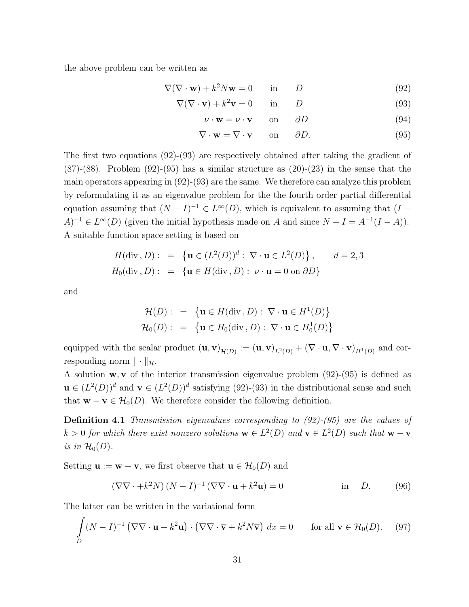the above problem can be written as

$$
\nabla(\nabla \cdot \mathbf{w}) + k^2 N \mathbf{w} = 0 \quad \text{in} \quad D \tag{92}
$$

$$
\nabla(\nabla \cdot \mathbf{v}) + k^2 \mathbf{v} = 0 \quad \text{in} \quad D \tag{93}
$$

$$
\nu \cdot \mathbf{w} = \nu \cdot \mathbf{v} \qquad \text{on} \qquad \partial D \tag{94}
$$

$$
\nabla \cdot \mathbf{w} = \nabla \cdot \mathbf{v} \quad \text{on} \quad \partial D. \tag{95}
$$

The first two equations (92)-(93) are respectively obtained after taking the gradient of  $(87)-(88)$ . Problem  $(92)-(95)$  has a similar structure as  $(20)-(23)$  in the sense that the main operators appearing in (92)-(93) are the same. We therefore can analyze this problem by reformulating it as an eigenvalue problem for the the fourth order partial differential equation assuming that  $(N - I)^{-1} \in L^{\infty}(D)$ , which is equivalent to assuming that  $(I A^{-1} \in L^{\infty}(D)$  (given the initial hypothesis made on A and since  $N - I = A^{-1}(I - A)$ ). A suitable function space setting is based on

$$
H(\text{div}, D) : = \{ \mathbf{u} \in (L^2(D))^d : \nabla \cdot \mathbf{u} \in L^2(D) \}, \quad d = 2, 3
$$
  

$$
H_0(\text{div}, D) : = \{ \mathbf{u} \in H(\text{div}, D) : \nu \cdot \mathbf{u} = 0 \text{ on } \partial D \}
$$

and

$$
\mathcal{H}(D): = \{ \mathbf{u} \in H(\text{div}, D) : \nabla \cdot \mathbf{u} \in H^1(D) \}
$$
  

$$
\mathcal{H}_0(D): = \{ \mathbf{u} \in H_0(\text{div}, D) : \nabla \cdot \mathbf{u} \in H_0^1(D) \}
$$

equipped with the scalar product  $(\mathbf{u}, \mathbf{v})_{\mathcal{H}(D)} := (\mathbf{u}, \mathbf{v})_{L^2(D)} + (\nabla \cdot \mathbf{u}, \nabla \cdot \mathbf{v})_{H^1(D)}$  and corresponding norm  $\|\cdot\|_{\mathcal{H}}$ .

A solution  $w, v$  of the interior transmission eigenvalue problem  $(92)-(95)$  is defined as  $\mathbf{u} \in (L^2(D))^d$  and  $\mathbf{v} \in (L^2(D))^d$  satisfying (92)-(93) in the distributional sense and such that  $\mathbf{w} - \mathbf{v} \in \mathcal{H}_0(D)$ . We therefore consider the following definition.

Definition 4.1 Transmission eigenvalues corresponding to (92)-(95) are the values of  $k > 0$  for which there exist nonzero solutions  $\mathbf{w} \in L^2(D)$  and  $\mathbf{v} \in L^2(D)$  such that  $\mathbf{w} - \mathbf{v}$ is in  $\mathcal{H}_0(D)$ .

Setting  $\mathbf{u} := \mathbf{w} - \mathbf{v}$ , we first observe that  $\mathbf{u} \in \mathcal{H}_0(D)$  and

$$
(\nabla \nabla \cdot + k^2 N)(N - I)^{-1} (\nabla \nabla \cdot \mathbf{u} + k^2 \mathbf{u}) = 0 \qquad \text{in} \quad D. \tag{96}
$$

The latter can be written in the variational form

$$
\int_{D} (N - I)^{-1} \left( \nabla \nabla \cdot \mathbf{u} + k^2 \mathbf{u} \right) \cdot \left( \nabla \nabla \cdot \overline{\mathbf{v}} + k^2 N \overline{\mathbf{v}} \right) dx = 0 \quad \text{for all } \mathbf{v} \in \mathcal{H}_0(D). \tag{97}
$$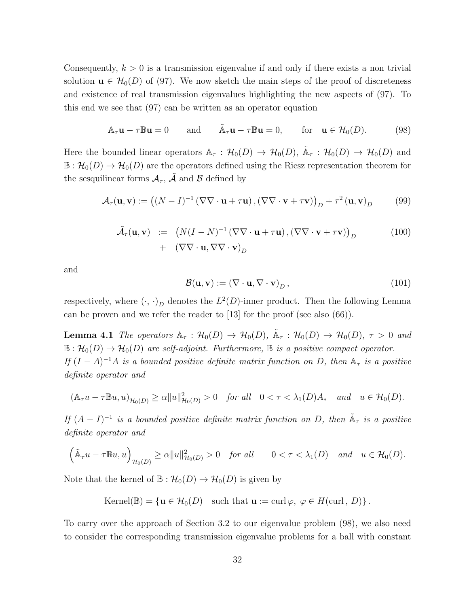Consequently,  $k > 0$  is a transmission eigenvalue if and only if there exists a non trivial solution  $\mathbf{u} \in \mathcal{H}_0(D)$  of (97). We now sketch the main steps of the proof of discreteness and existence of real transmission eigenvalues highlighting the new aspects of (97). To this end we see that (97) can be written as an operator equation

$$
\mathbb{A}_{\tau}\mathbf{u} - \tau \mathbb{B}\mathbf{u} = 0 \quad \text{and} \quad \tilde{\mathbb{A}}_{\tau}\mathbf{u} - \tau \mathbb{B}\mathbf{u} = 0, \quad \text{for} \quad \mathbf{u} \in \mathcal{H}_0(D). \tag{98}
$$

Here the bounded linear operators  $\mathbb{A}_{\tau}$ :  $\mathcal{H}_0(D) \to \mathcal{H}_0(D)$ ,  $\tilde{\mathbb{A}}_{\tau}$ :  $\mathcal{H}_0(D) \to \mathcal{H}_0(D)$  and  $\mathbb{B}: \mathcal{H}_0(D) \to \mathcal{H}_0(D)$  are the operators defined using the Riesz representation theorem for the sesquilinear forms  $A_{\tau}$ ,  $\tilde{A}$  and  $\tilde{B}$  defined by

$$
\mathcal{A}_{\tau}(\mathbf{u}, \mathbf{v}) := ((N - I)^{-1} (\nabla \nabla \cdot \mathbf{u} + \tau \mathbf{u}), (\nabla \nabla \cdot \mathbf{v} + \tau \mathbf{v}))_{D} + \tau^{2} (\mathbf{u}, \mathbf{v})_{D}
$$
(99)

$$
\tilde{\mathcal{A}}_{\tau}(\mathbf{u}, \mathbf{v}) := (N(I - N)^{-1} (\nabla \nabla \cdot \mathbf{u} + \tau \mathbf{u}), (\nabla \nabla \cdot \mathbf{v} + \tau \mathbf{v}))_D
$$
\n
$$
+ (\nabla \nabla \cdot \mathbf{u}, \nabla \nabla \cdot \mathbf{v})_D
$$
\n(100)

and

$$
\mathcal{B}(\mathbf{u}, \mathbf{v}) := (\nabla \cdot \mathbf{u}, \nabla \cdot \mathbf{v})_D, \qquad (101)
$$

respectively, where  $(\cdot, \cdot)_D$  denotes the  $L^2(D)$ -inner product. Then the following Lemma can be proven and we refer the reader to [13] for the proof (see also (66)).

**Lemma 4.1** The operators  $\mathbb{A}_{\tau}$ :  $\mathcal{H}_0(D) \to \mathcal{H}_0(D)$ ,  $\tilde{\mathbb{A}}_{\tau}$ :  $\mathcal{H}_0(D) \to \mathcal{H}_0(D)$ ,  $\tau > 0$  and  $\mathbb{B}: \mathcal{H}_0(D) \to \mathcal{H}_0(D)$  are self-adjoint. Furthermore,  $\mathbb B$  is a positive compact operator. If  $(I - A)^{-1}A$  is a bounded positive definite matrix function on D, then  $A_{\tau}$  is a positive definite operator and

$$
(\mathbb{A}_{\tau}u - \tau \mathbb{B}u, u)_{\mathcal{H}_0(D)} \ge \alpha \|u\|_{\mathcal{H}_0(D)}^2 > 0 \quad \text{for all} \quad 0 < \tau < \lambda_1(D)A_* \quad \text{and} \quad u \in \mathcal{H}_0(D).
$$

If  $(A - I)^{-1}$  is a bounded positive definite matrix function on D, then  $\tilde{A}_{\tau}$  is a positive definite operator and

$$
\left(\tilde{\mathbb{A}}_{\tau}u - \tau \mathbb{B}u, u\right)_{\mathcal{H}_0(D)} \ge \alpha \|u\|_{\mathcal{H}_0(D)}^2 > 0 \quad \text{for all} \quad 0 < \tau < \lambda_1(D) \quad \text{and} \quad u \in \mathcal{H}_0(D).
$$

Note that the kernel of  $\mathbb{B}: \mathcal{H}_0(D) \to \mathcal{H}_0(D)$  is given by

Kernel( $\mathbb{B}$ ) = {**u**  $\in \mathcal{H}_0(D)$  such that **u** := curl  $\varphi, \varphi \in H$ (curl, D)}.

To carry over the approach of Section 3.2 to our eigenvalue problem (98), we also need to consider the corresponding transmission eigenvalue problems for a ball with constant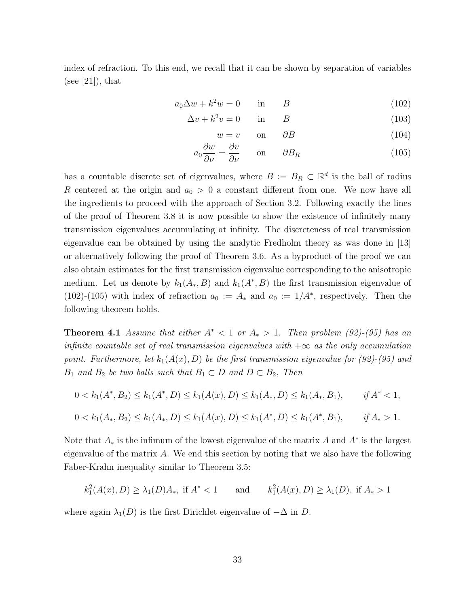index of refraction. To this end, we recall that it can be shown by separation of variables (see  $[21]$ ), that

$$
a_0 \Delta w + k^2 w = 0 \qquad \text{in} \qquad B \tag{102}
$$

$$
\Delta v + k^2 v = 0 \qquad \text{in} \qquad B \tag{103}
$$

$$
w = v \qquad \text{on} \qquad \partial B \tag{104}
$$

$$
a_0 \frac{\partial w}{\partial \nu} = \frac{\partial v}{\partial \nu} \qquad \text{on} \qquad \partial B_R \tag{105}
$$

has a countable discrete set of eigenvalues, where  $B := B_R \subset \mathbb{R}^d$  is the ball of radius R centered at the origin and  $a_0 > 0$  a constant different from one. We now have all the ingredients to proceed with the approach of Section 3.2. Following exactly the lines of the proof of Theorem 3.8 it is now possible to show the existence of infinitely many transmission eigenvalues accumulating at infinity. The discreteness of real transmission eigenvalue can be obtained by using the analytic Fredholm theory as was done in [13] or alternatively following the proof of Theorem 3.6. As a byproduct of the proof we can also obtain estimates for the first transmission eigenvalue corresponding to the anisotropic medium. Let us denote by  $k_1(A_*,B)$  and  $k_1(A^*,B)$  the first transmission eigenvalue of (102)-(105) with index of refraction  $a_0 := A_*$  and  $a_0 := 1/A^*$ , respectively. Then the following theorem holds.

**Theorem 4.1** Assume that either  $A^* < 1$  or  $A_* > 1$ . Then problem (92)-(95) has an infinite countable set of real transmission eigenvalues with  $+\infty$  as the only accumulation point. Furthermore, let  $k_1(A(x), D)$  be the first transmission eigenvalue for (92)-(95) and  $B_1$  and  $B_2$  be two balls such that  $B_1 \subset D$  and  $D \subset B_2$ , Then

$$
0 < k_1(A^*, B_2) \le k_1(A^*, D) \le k_1(A(x), D) \le k_1(A_*, D) \le k_1(A_*, B_1), \quad \text{if } A^* < 1,
$$
\n
$$
0 < k_1(A_*, B_2) \le k_1(A_*, D) \le k_1(A(x), D) \le k_1(A^*, D) \le k_1(A^*, B_1), \quad \text{if } A_* > 1.
$$

Note that  $A_*$  is the infimum of the lowest eigenvalue of the matrix A and  $A^*$  is the largest eigenvalue of the matrix  $A$ . We end this section by noting that we also have the following Faber-Krahn inequality similar to Theorem 3.5:

$$
k_1^2(A(x), D) \ge \lambda_1(D)A_*
$$
, if  $A^* < 1$  and  $k_1^2(A(x), D) \ge \lambda_1(D)$ , if  $A_* > 1$ 

where again  $\lambda_1(D)$  is the first Dirichlet eigenvalue of  $-\Delta$  in D.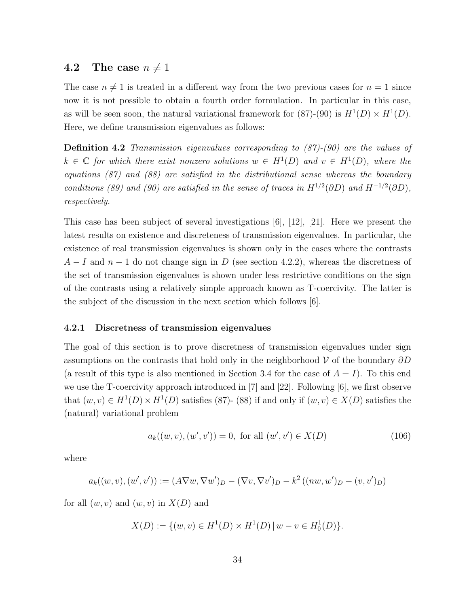#### 4.2 The case  $n \neq 1$

The case  $n \neq 1$  is treated in a different way from the two previous cases for  $n = 1$  since now it is not possible to obtain a fourth order formulation. In particular in this case, as will be seen soon, the natural variational framework for  $(87)-(90)$  is  $H^1(D) \times H^1(D)$ . Here, we define transmission eigenvalues as follows:

Definition 4.2 Transmission eigenvalues corresponding to (87)-(90) are the values of  $k \in \mathbb{C}$  for which there exist nonzero solutions  $w \in H^1(D)$  and  $v \in H^1(D)$ , where the equations (87) and (88) are satisfied in the distributional sense whereas the boundary conditions (89) and (90) are satisfied in the sense of traces in  $H^{1/2}(\partial D)$  and  $H^{-1/2}(\partial D)$ , respectively.

This case has been subject of several investigations [6], [12], [21]. Here we present the latest results on existence and discreteness of transmission eigenvalues. In particular, the existence of real transmission eigenvalues is shown only in the cases where the contrasts  $A-I$  and  $n-1$  do not change sign in D (see section 4.2.2), whereas the discretness of the set of transmission eigenvalues is shown under less restrictive conditions on the sign of the contrasts using a relatively simple approach known as T-coercivity. The latter is the subject of the discussion in the next section which follows [6].

#### 4.2.1 Discretness of transmission eigenvalues

The goal of this section is to prove discretness of transmission eigenvalues under sign assumptions on the contrasts that hold only in the neighborhood  $\mathcal V$  of the boundary  $\partial D$ (a result of this type is also mentioned in Section 3.4 for the case of  $A = I$ ). To this end we use the T-coercivity approach introduced in [7] and [22]. Following [6], we first observe that  $(w, v) \in H^1(D) \times H^1(D)$  satisfies (87)- (88) if and only if  $(w, v) \in X(D)$  satisfies the (natural) variational problem

$$
a_k((w, v), (w', v')) = 0, \text{ for all } (w', v') \in X(D) \tag{106}
$$

where

$$
a_k((w, v), (w', v')) := (A\nabla w, \nabla w')_D - (\nabla v, \nabla v')_D - k^2 ((nw, w')_D - (v, v')_D)
$$

for all  $(w, v)$  and  $(w, v)$  in  $X(D)$  and

$$
X(D) := \{ (w, v) \in H^1(D) \times H^1(D) \mid w - v \in H_0^1(D) \}.
$$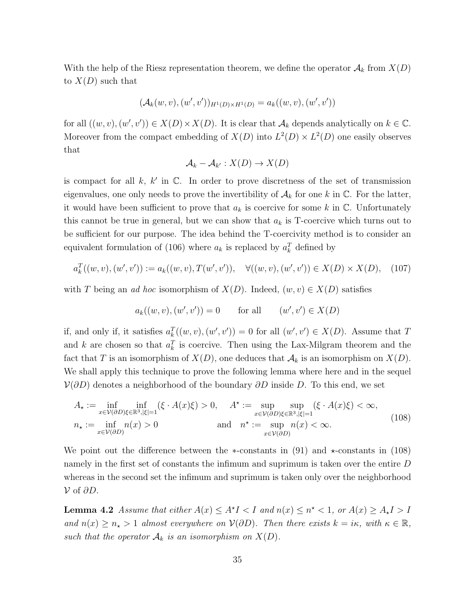With the help of the Riesz representation theorem, we define the operator  $\mathcal{A}_k$  from  $X(D)$ to  $X(D)$  such that

$$
(\mathcal{A}_k(w,v), (w',v'))_{H^1(D)\times H^1(D)} = a_k((w,v), (w',v'))
$$

for all  $((w, v), (w', v')) \in X(D) \times X(D)$ . It is clear that  $\mathcal{A}_k$  depends analytically on  $k \in \mathbb{C}$ . Moreover from the compact embedding of  $X(D)$  into  $L^2(D) \times L^2(D)$  one easily observes that

$$
\mathcal{A}_k - \mathcal{A}_{k'} : X(D) \to X(D)
$$

is compact for all  $k, k'$  in  $\mathbb{C}$ . In order to prove discretness of the set of transmission eigenvalues, one only needs to prove the invertibility of  $A_k$  for one k in  $\mathbb C$ . For the latter, it would have been sufficient to prove that  $a_k$  is coercive for some k in  $\mathbb C$ . Unfortunately this cannot be true in general, but we can show that  $a_k$  is T-coercive which turns out to be sufficient for our purpose. The idea behind the T-coercivity method is to consider an equivalent formulation of (106) where  $a_k$  is replaced by  $a_k^T$  defined by

$$
a_k^T((w, v), (w', v')) := a_k((w, v), T(w', v')), \quad \forall ((w, v), (w', v')) \in X(D) \times X(D), \quad (107)
$$

with T being an ad hoc isomorphism of  $X(D)$ . Indeed,  $(w, v) \in X(D)$  satisfies

$$
a_k((w, v), (w', v')) = 0
$$
 for all  $(w', v') \in X(D)$ 

if, and only if, it satisfies  $a_k^T((w, v), (w', v')) = 0$  for all  $(w', v') \in X(D)$ . Assume that T and k are chosen so that  $a_k^T$  is coercive. Then using the Lax-Milgram theorem and the fact that T is an isomorphism of  $X(D)$ , one deduces that  $\mathcal{A}_k$  is an isomorphism on  $X(D)$ . We shall apply this technique to prove the following lemma where here and in the sequel  $V(\partial D)$  denotes a neighborhood of the boundary  $\partial D$  inside D. To this end, we set

$$
A_{\star} := \inf_{x \in V(\partial D)\xi \in \mathbb{R}^3, |\xi|=1} (\xi \cdot A(x)\xi) > 0, \quad A^{\star} := \sup_{x \in V(\partial D)\xi \in \mathbb{R}^3, |\xi|=1} (\xi \cdot A(x)\xi) < \infty, n_{\star} := \inf_{x \in V(\partial D)} n(x) > 0 \qquad \text{and} \quad n^{\star} := \sup_{x \in V(\partial D)} n(x) < \infty.
$$
 (108)

We point out the difference between the  $\ast$ -constants in (91) and  $\ast$ -constants in (108) namely in the first set of constants the infimum and suprimum is taken over the entire D whereas in the second set the infimum and suprimum is taken only over the neighborhood  $\mathcal V$  of  $\partial D$ .

**Lemma 4.2** Assume that either  $A(x) \le A^{\star}I < I$  and  $n(x) \le n^{\star} < 1$ , or  $A(x) \ge A_{\star}I > I$ and  $n(x) \geq n_{\star} > 1$  almost everywhere on  $V(\partial D)$ . Then there exists  $k = i\kappa$ , with  $\kappa \in \mathbb{R}$ , such that the operator  $\mathcal{A}_k$  is an isomorphism on  $X(D)$ .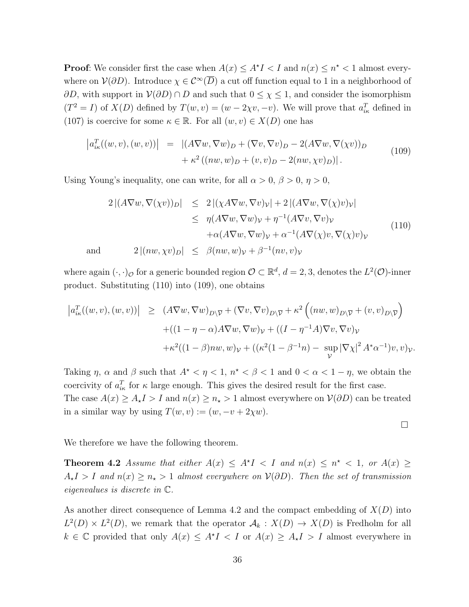**Proof:** We consider first the case when  $A(x) \leq A^{\star}I < I$  and  $n(x) \leq n^{\star} < 1$  almost everywhere on  $V(\partial D)$ . Introduce  $\chi \in C^{\infty}(\overline{D})$  a cut off function equal to 1 in a neighborhood of  $\partial D$ , with support in  $\mathcal{V}(\partial D) \cap D$  and such that  $0 \leq \chi \leq 1$ , and consider the isomorphism  $(T^2 = I)$  of  $X(D)$  defined by  $T(w, v) = (w - 2\chi v, -v)$ . We will prove that  $a_{ik}^T$  defined in (107) is coercive for some  $\kappa \in \mathbb{R}$ . For all  $(w, v) \in X(D)$  one has

$$
\left| a_{i\kappa}^T((w,v),(w,v)) \right| = \left| (A\nabla w, \nabla w)_D + (\nabla v, \nabla v)_D - 2(A\nabla w, \nabla (\chi v))_D \right| + \kappa^2 ((nw, w)_D + (v, v)_D - 2(nw, \chi v)_D) \right|.
$$
\n(109)

Using Young's inequality, one can write, for all  $\alpha > 0$ ,  $\beta > 0$ ,  $\eta > 0$ ,

$$
2|(A\nabla w, \nabla(\chi v))_D| \leq 2|(\chi A\nabla w, \nabla v)_\mathcal{V}| + 2|(A\nabla w, \nabla(\chi)v)_\mathcal{V}|
$$
  
\n
$$
\leq \eta(A\nabla w, \nabla w)_\mathcal{V} + \eta^{-1}(A\nabla v, \nabla v)_\mathcal{V}
$$
  
\n
$$
+ \alpha(A\nabla w, \nabla w)_\mathcal{V} + \alpha^{-1}(A\nabla(\chi)v, \nabla(\chi)v)_\mathcal{V}
$$
  
\nand  
\n
$$
2|(nw, \chi v)_D| \leq \beta(nw, w)_\mathcal{V} + \beta^{-1}(nv, v)_\mathcal{V}
$$
\n(110)

where again  $(\cdot, \cdot)_{\mathcal{O}}$  for a generic bounded region  $\mathcal{O} \subset \mathbb{R}^d$ ,  $d = 2, 3$ , denotes the  $L^2(\mathcal{O})$ -inner product. Substituting (110) into (109), one obtains

$$
\begin{array}{rcl} \left| a_{i\kappa}^T((w,v),(w,v)) \right| & \geq & \left( A\nabla w, \nabla w \right)_{D\setminus\overline{\mathcal{V}}} + (\nabla v, \nabla v)_{D\setminus\overline{\mathcal{V}}} + \kappa^2 \left( (nw,w)_{D\setminus\overline{\mathcal{V}}} + (v,v)_{D\setminus\overline{\mathcal{V}}} \right) \\ & & + ((1 - \eta - \alpha)A\nabla w, \nabla w)_{\mathcal{V}} + ((I - \eta^{-1}A)\nabla v, \nabla v)_{\mathcal{V}} \\ & & + \kappa^2 ((1 - \beta)nw, w)_{\mathcal{V}} + ((\kappa^2(1 - \beta^{-1}n) - \sup_{\mathcal{V}} |\nabla \chi|^2 A^* \alpha^{-1})v, v)_{\mathcal{V}}. \end{array}
$$

Taking  $\eta$ ,  $\alpha$  and  $\beta$  such that  $A^* < \eta < 1$ ,  $n^* < \beta < 1$  and  $0 < \alpha < 1 - \eta$ , we obtain the coercivity of  $a_{ik}^T$  for  $\kappa$  large enough. This gives the desired result for the first case. The case  $A(x) \ge A_{\star} I > I$  and  $n(x) \ge n_{\star} > 1$  almost everywhere on  $V(\partial D)$  can be treated in a similar way by using  $T(w, v) := (w, -v + 2\chi w)$ .

 $\Box$ 

We therefore we have the following theorem.

**Theorem 4.2** Assume that either  $A(x) \leq A^*I < I$  and  $n(x) \leq n^* < I$ , or  $A(x) \geq$  $A_{\star}I > I$  and  $n(x) \geq n_{\star} > 1$  almost everywhere on  $\mathcal{V}(\partial D)$ . Then the set of transmission eigenvalues is discrete in C.

As another direct consequence of Lemma 4.2 and the compact embedding of  $X(D)$  into  $L^2(D) \times L^2(D)$ , we remark that the operator  $\mathcal{A}_k : X(D) \to X(D)$  is Fredholm for all  $k \in \mathbb{C}$  provided that only  $A(x) \leq A^*I < I$  or  $A(x) \geq A^*I > I$  almost everywhere in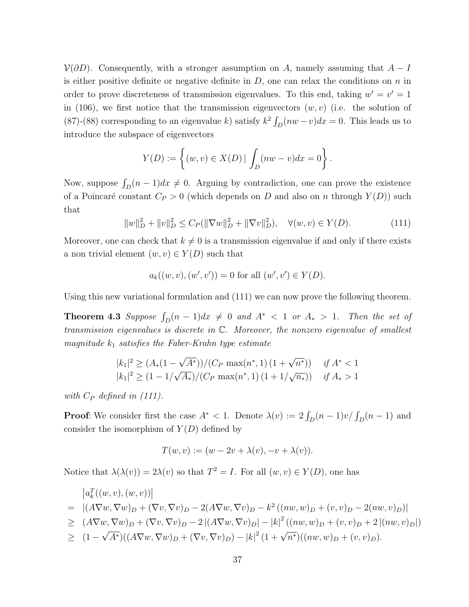$V(\partial D)$ . Consequently, with a stronger assumption on A, namely assuming that  $A-I$ is either positive definite or negative definite in  $D$ , one can relax the conditions on  $n$  in order to prove discreteness of transmission eigenvalues. To this end, taking  $w' = v' = 1$ in (106), we first notice that the transmission eigenvectors  $(w, v)$  (i.e. the solution of (87)-(88) corresponding to an eigenvalue k) satisfy  $k^2 \int_D (nw - v) dx = 0$ . This leads us to introduce the subspace of eigenvectors

$$
Y(D) := \left\{ (w, v) \in X(D) \, | \, \int_D (nw - v) dx = 0 \right\}.
$$

Now, suppose  $\int_D (n-1)dx \neq 0$ . Arguing by contradiction, one can prove the existence of a Poincaré constant  $C_P > 0$  (which depends on D and also on n through  $Y(D)$ ) such that

$$
||w||_D^2 + ||v||_D^2 \le C_P(||\nabla w||_D^2 + ||\nabla v||_D^2), \quad \forall (w, v) \in Y(D). \tag{111}
$$

Moreover, one can check that  $k \neq 0$  is a transmission eigenvalue if and only if there exists a non trivial element  $(w, v) \in Y(D)$  such that

$$
a_k((w, v), (w', v')) = 0
$$
 for all  $(w', v') \in Y(D)$ .

Using this new variational formulation and (111) we can now prove the following theorem.

**Theorem 4.3** Suppose  $\int_D (n-1)dx \neq 0$  and  $A^* < 1$  or  $A_* > 1$ . Then the set of transmission eigenvalues is discrete in C. Moreover, the nonzero eigenvalue of smallest magnitude  $k_1$  satisfies the Faber-Krahn type estimate

$$
|k_1|^2 \ge (A_*(1 - \sqrt{A^*})) / (C_P \max(n^*, 1) (1 + \sqrt{n^*})) \quad \text{if } A^* < 1
$$
\n
$$
|k_1|^2 \ge (1 - 1/\sqrt{A_*}) / (C_P \max(n^*, 1) (1 + 1/\sqrt{n_*})) \quad \text{if } A_* > 1
$$

with  $C_P$  defined in (111).

**Proof:** We consider first the case  $A^* < 1$ . Denote  $\lambda(v) := 2 \int_D (n-1)v / \int_D (n-1)$  and consider the isomorphism of  $Y(D)$  defined by

$$
T(w, v) := (w - 2v + \lambda(v), -v + \lambda(v)).
$$

Notice that  $\lambda(\lambda(v)) = 2\lambda(v)$  so that  $T^2 = I$ . For all  $(w, v) \in Y(D)$ , one has

$$
\begin{aligned}\n&|a_k^T((w,v),(w,v))| \\
&= |(A\nabla w, \nabla w)_D + (\nabla v, \nabla v)_D - 2(A\nabla w, \nabla v)_D - k^2((nw, w)_D + (v, v)_D - 2(nw, v)_D)| \\
&\geq (A\nabla w, \nabla w)_D + (\nabla v, \nabla v)_D - 2|(A\nabla w, \nabla v)_D| - |k|^2((nw, w)_D + (v, v)_D + 2|(nw, v)_D|) \\
&\geq (1 - \sqrt{A^*})((A\nabla w, \nabla w)_D + (\nabla v, \nabla v)_D) - |k|^2(1 + \sqrt{n^*})((nw, w)_D + (v, v)_D).\n\end{aligned}
$$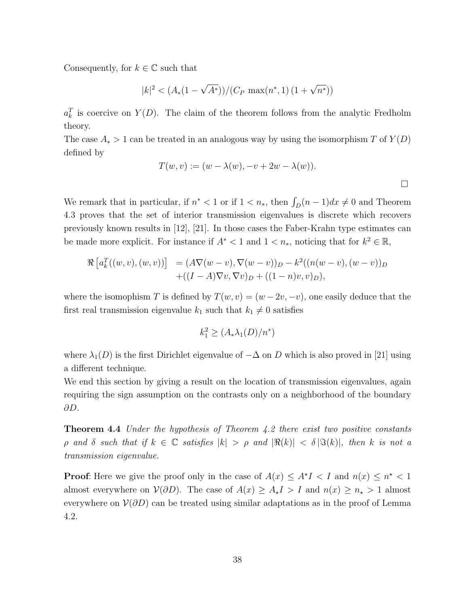Consequently, for  $k \in \mathbb{C}$  such that

$$
|k|^2 < (A_*(1-\sqrt{A^*}))/(C_P \max(n^*,1)(1+\sqrt{n^*}))
$$

 $a_k^T$  is coercive on  $Y(D)$ . The claim of the theorem follows from the analytic Fredholm theory.

The case  $A_* > 1$  can be treated in an analogous way by using the isomorphism T of  $Y(D)$ defined by

$$
T(w, v) := (w - \lambda(w), -v + 2w - \lambda(w)).
$$

We remark that in particular, if  $n^* < 1$  or if  $1 < n_*$ , then  $\int_D (n-1)dx \neq 0$  and Theorem 4.3 proves that the set of interior transmission eigenvalues is discrete which recovers previously known results in [12], [21]. In those cases the Faber-Krahn type estimates can be made more explicit. For instance if  $A^* < 1$  and  $1 < n_*$ , noticing that for  $k^2 \in \mathbb{R}$ ,

$$
\Re \left[ a_k^T((w, v), (w, v)) \right] = (A \nabla (w - v), \nabla (w - v))_D - k^2((n(w - v), (w - v))_D + ((I - A) \nabla v, \nabla v)_D + ((1 - n)v, v)_D),
$$

where the isomophism T is defined by  $T(w, v) = (w - 2v, -v)$ , one easily deduce that the first real transmission eigenvalue  $k_1$  such that  $k_1 \neq 0$  satisfies

$$
k_1^2 \ge (A_* \lambda_1(D)/n^*)
$$

where  $\lambda_1(D)$  is the first Dirichlet eigenvalue of  $-\Delta$  on D which is also proved in [21] using a different technique.

We end this section by giving a result on the location of transmission eigenvalues, again requiring the sign assumption on the contrasts only on a neighborhood of the boundary ∂D.

Theorem 4.4 Under the hypothesis of Theorem 4.2 there exist two positive constants  $\rho$  and  $\delta$  such that if  $k \in \mathbb{C}$  satisfies  $|k| > \rho$  and  $|\Re(k)| < \delta |\Im(k)|$ , then k is not a transmission eigenvalue.

**Proof:** Here we give the proof only in the case of  $A(x) \leq A^{\star}I < I$  and  $n(x) \leq n^{\star} < 1$ almost everywhere on  $\mathcal{V}(\partial D)$ . The case of  $A(x) \geq A_{\star} I > I$  and  $n(x) \geq n_{\star} > 1$  almost everywhere on  $\mathcal{V}(\partial D)$  can be treated using similar adaptations as in the proof of Lemma 4.2.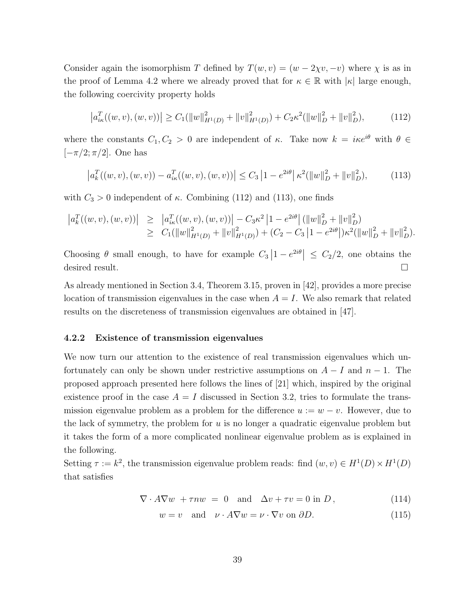Consider again the isomorphism T defined by  $T(w, v) = (w - 2\chi v, -v)$  where  $\chi$  is as in the proof of Lemma 4.2 where we already proved that for  $\kappa \in \mathbb{R}$  with  $|\kappa|$  large enough, the following coercivity property holds

$$
\left| a_{ik}^T((w,v),(w,v)) \right| \ge C_1(||w||_{H^1(D)}^2 + ||v||_{H^1(D)}^2) + C_2 \kappa^2 (||w||_D^2 + ||v||_D^2), \tag{112}
$$

where the constants  $C_1, C_2 > 0$  are independent of κ. Take now  $k = i\kappa e^{i\theta}$  with  $\theta \in$  $[-\pi/2; \pi/2]$ . One has

$$
\left| a_k^T((w,v),(w,v)) - a_{ik}^T((w,v),(w,v)) \right| \le C_3 \left| 1 - e^{2i\theta} \right| \kappa^2 (\|w\|_D^2 + \|v\|_D^2), \tag{113}
$$

with  $C_3 > 0$  independent of  $\kappa$ . Combining (112) and (113), one finds

$$
\begin{array}{rcl} \left| a_k^T((w,v),(w,v)) \right| & \geq & \left| a_{ik}^T((w,v),(w,v)) \right| - C_3 \kappa^2 \left| 1 - e^{2i\theta} \right| (\left\| w \right\|_D^2 + \left\| v \right\|_D^2) \\ & \geq & C_1(\left\| w \right\|_{H^1(D)}^2 + \left\| v \right\|_{H^1(D)}^2) + (C_2 - C_3 \left| 1 - e^{2i\theta} \right|) \kappa^2 (\left\| w \right\|_D^2 + \left\| v \right\|_D^2). \end{array}
$$

Choosing  $\theta$  small enough, to have for example  $C_3\left|1-e^{2i\theta}\right| \leq C_2/2$ , one obtains the desired result.

As already mentioned in Section 3.4, Theorem 3.15, proven in [42], provides a more precise location of transmission eigenvalues in the case when  $A = I$ . We also remark that related results on the discreteness of transmission eigenvalues are obtained in [47].

#### 4.2.2 Existence of transmission eigenvalues

We now turn our attention to the existence of real transmission eigenvalues which unfortunately can only be shown under restrictive assumptions on  $A - I$  and  $n - 1$ . The proposed approach presented here follows the lines of [21] which, inspired by the original existence proof in the case  $A = I$  discussed in Section 3.2, tries to formulate the transmission eigenvalue problem as a problem for the difference  $u := w - v$ . However, due to the lack of symmetry, the problem for  $u$  is no longer a quadratic eigenvalue problem but it takes the form of a more complicated nonlinear eigenvalue problem as is explained in the following.

Setting  $\tau := k^2$ , the transmission eigenvalue problem reads: find  $(w, v) \in H^1(D) \times H^1(D)$ that satisfies

$$
\nabla \cdot A \nabla w + \tau n w = 0 \text{ and } \Delta v + \tau v = 0 \text{ in } D,
$$
\n(114)

$$
w = v \quad \text{and} \quad \nu \cdot A \nabla w = \nu \cdot \nabla v \text{ on } \partial D. \tag{115}
$$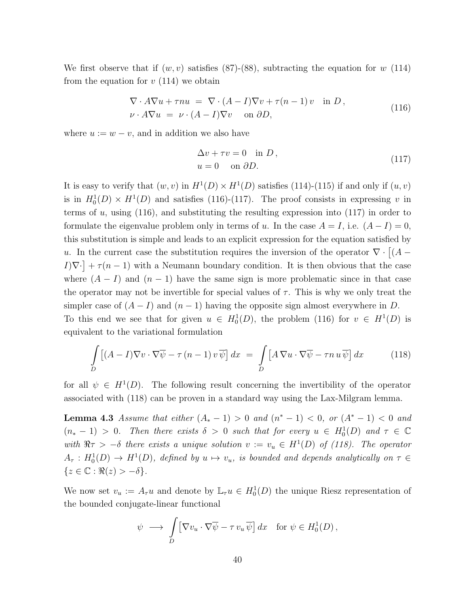We first observe that if  $(w, v)$  satisfies (87)-(88), subtracting the equation for w (114) from the equation for  $v(114)$  we obtain

$$
\nabla \cdot A \nabla u + \tau n u = \nabla \cdot (A - I) \nabla v + \tau (n - 1) v \quad \text{in } D,
$$
  
\n
$$
\nu \cdot A \nabla u = \nu \cdot (A - I) \nabla v \quad \text{on } \partial D,
$$
\n(116)

where  $u := w - v$ , and in addition we also have

$$
\begin{aligned} \Delta v + \tau v &= 0 \quad \text{in } D \,, \\ u &= 0 \quad \text{on } \partial D. \end{aligned} \tag{117}
$$

It is easy to verify that  $(w, v)$  in  $H^1(D) \times H^1(D)$  satisfies (114)-(115) if and only if  $(u, v)$ is in  $H_0^1(D) \times H^1(D)$  and satisfies (116)-(117). The proof consists in expressing v in terms of  $u$ , using (116), and substituting the resulting expression into (117) in order to formulate the eigenvalue problem only in terms of u. In the case  $A = I$ , i.e.  $(A - I) = 0$ , this substitution is simple and leads to an explicit expression for the equation satisfied by u. In the current case the substitution requires the inversion of the operator  $\nabla \cdot [(A I[\nabla \cdot] + \tau(n-1)$  with a Neumann boundary condition. It is then obvious that the case where  $(A - I)$  and  $(n - 1)$  have the same sign is more problematic since in that case the operator may not be invertible for special values of  $\tau$ . This is why we only treat the simpler case of  $(A - I)$  and  $(n - 1)$  having the opposite sign almost everywhere in D. To this end we see that for given  $u \in H_0^1(D)$ , the problem (116) for  $v \in H^1(D)$  is equivalent to the variational formulation

$$
\int_{D} \left[ (A - I) \nabla v \cdot \nabla \overline{\psi} - \tau (n - 1) v \overline{\psi} \right] dx = \int_{D} \left[ A \nabla u \cdot \nabla \overline{\psi} - \tau n u \overline{\psi} \right] dx \tag{118}
$$

for all  $\psi \in H^1(D)$ . The following result concerning the invertibility of the operator associated with (118) can be proven in a standard way using the Lax-Milgram lemma.

**Lemma 4.3** Assume that either  $(A_* - 1) > 0$  and  $(n^* - 1) < 0$ , or  $(A^* - 1) < 0$  and  $(n_* - 1) > 0$ . Then there exists  $\delta > 0$  such that for every  $u \in H_0^1(D)$  and  $\tau \in \mathbb{C}$ with  $\Re \tau > -\delta$  there exists a unique solution  $v := v_u \in H^1(D)$  of (118). The operator  $A_{\tau}: H_0^1(D) \to H^1(D)$ , defined by  $u \mapsto v_u$ , is bounded and depends analytically on  $\tau \in$  ${z \in \mathbb{C} : \Re(z) > -\delta}.$ 

We now set  $v_u := A_{\tau}u$  and denote by  $\mathbb{L}_{\tau}u \in H_0^1(D)$  the unique Riesz representation of the bounded conjugate-linear functional

$$
\psi \longrightarrow \int\limits_{D} \left[ \nabla v_u \cdot \nabla \overline{\psi} - \tau \, v_u \, \overline{\psi} \right] dx \quad \text{for } \psi \in H_0^1(D) \, ,
$$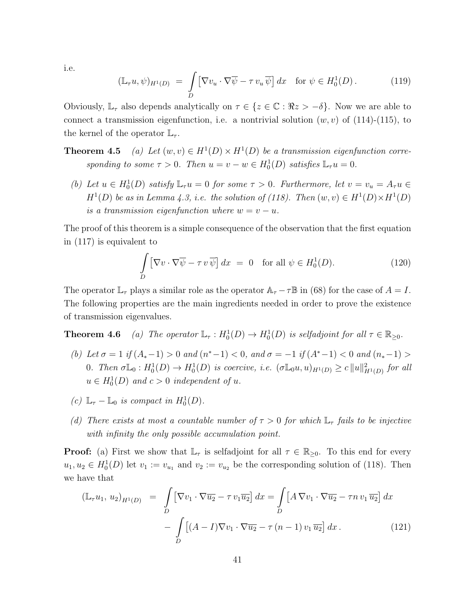i.e.

$$
(\mathbb{L}_{\tau}u,\psi)_{H^1(D)} = \int_D \left[\nabla v_u \cdot \nabla \overline{\psi} - \tau \, v_u \, \overline{\psi}\right] dx \quad \text{for } \psi \in H^1_0(D). \tag{119}
$$

Obviously,  $\mathbb{L}_{\tau}$  also depends analytically on  $\tau \in \{z \in \mathbb{C} : \Re z > -\delta\}$ . Now we are able to connect a transmission eigenfunction, i.e. a nontrivial solution  $(w, v)$  of  $(114)-(115)$ , to the kernel of the operator  $\mathbb{L}_{\tau}$ .

- **Theorem 4.5** (a) Let  $(w, v) \in H^1(D) \times H^1(D)$  be a transmission eigenfunction corresponding to some  $\tau > 0$ . Then  $u = v - w \in H_0^1(D)$  satisfies  $\mathbb{L}_{\tau}u = 0$ .
	- (b) Let  $u \in H_0^1(D)$  satisfy  $\mathbb{L}_{\tau}u = 0$  for some  $\tau > 0$ . Furthermore, let  $v = v_u = A_{\tau}u \in$  $H^1(D)$  be as in Lemma 4.3, i.e. the solution of (118). Then  $(w, v) \in H^1(D) \times H^1(D)$ is a transmission eigenfunction where  $w = v - u$ .

The proof of this theorem is a simple consequence of the observation that the first equation in (117) is equivalent to

$$
\int_{D} \left[ \nabla v \cdot \nabla \overline{\psi} - \tau v \, \overline{\psi} \right] dx = 0 \quad \text{for all } \psi \in H_0^1(D). \tag{120}
$$

The operator  $\mathbb{L}_{\tau}$  plays a similar role as the operator  $\mathbb{A}_{\tau} - \tau \mathbb{B}$  in (68) for the case of  $A = I$ . The following properties are the main ingredients needed in order to prove the existence of transmission eigenvalues.

**Theorem 4.6** (a) The operator  $\mathbb{L}_{\tau}: H_0^1(D) \to H_0^1(D)$  is selfadjoint for all  $\tau \in \mathbb{R}_{\geq 0}$ .

- (b) Let  $\sigma = 1$  if  $(A_*-1) > 0$  and  $(n^*-1) < 0$ , and  $\sigma = -1$  if  $(A^*-1) < 0$  and  $(n_*-1) > 0$ 0. Then  $\sigma \mathbb{L}_0 : H_0^1(D) \to H_0^1(D)$  is coercive, i.e.  $(\sigma \mathbb{L}_0 u, u)_{H^1(D)} \ge c ||u||_{H^1(D)}^2$  for all  $u \in H_0^1(D)$  and  $c > 0$  independent of u.
- (c)  $\mathbb{L}_{\tau} \mathbb{L}_0$  is compact in  $H_0^1(D)$ .
- (d) There exists at most a countable number of  $\tau > 0$  for which  $\mathbb{L}_{\tau}$  fails to be injective with infinity the only possible accumulation point.

**Proof:** (a) First we show that  $\mathbb{L}_{\tau}$  is selfadjoint for all  $\tau \in \mathbb{R}_{\geq 0}$ . To this end for every  $u_1, u_2 \in H_0^1(D)$  let  $v_1 := v_{u_1}$  and  $v_2 := v_{u_2}$  be the corresponding solution of (118). Then we have that

$$
(\mathbb{L}_{\tau}u_1, u_2)_{H^1(D)} = \int\limits_{D} \left[ \nabla v_1 \cdot \nabla \overline{u_2} - \tau v_1 \overline{u_2} \right] dx = \int\limits_{D} \left[ A \nabla v_1 \cdot \nabla \overline{u_2} - \tau n v_1 \overline{u_2} \right] dx
$$

$$
- \int\limits_{D} \left[ (A - I) \nabla v_1 \cdot \nabla \overline{u_2} - \tau (n - 1) v_1 \overline{u_2} \right] dx. \tag{121}
$$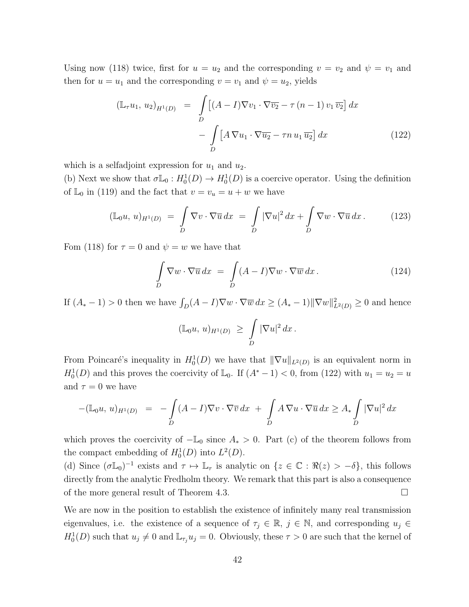Using now (118) twice, first for  $u = u_2$  and the corresponding  $v = v_2$  and  $\psi = v_1$  and then for  $u = u_1$  and the corresponding  $v = v_1$  and  $\psi = u_2$ , yields

$$
\begin{aligned}\n(\mathbb{L}_{\tau}u_1, u_2)_{H^1(D)} &= \int\limits_D \left[ (A - I)\nabla v_1 \cdot \nabla \overline{v_2} - \tau (n-1) v_1 \, \overline{v_2} \right] dx \\
&\quad - \int\limits_D \left[ A \, \nabla u_1 \cdot \nabla \overline{u_2} - \tau n \, u_1 \, \overline{u_2} \right] dx\n\end{aligned} \tag{122}
$$

which is a selfadjoint expression for  $u_1$  and  $u_2$ .

(b) Next we show that  $\sigma \mathbb{L}_0 : H_0^1(D) \to H_0^1(D)$  is a coercive operator. Using the definition of  $\mathbb{L}_0$  in (119) and the fact that  $v = v_u = u + w$  we have

$$
(\mathbb{L}_0 u, u)_{H^1(D)} = \int_D \nabla v \cdot \nabla \overline{u} \, dx = \int_D |\nabla u|^2 \, dx + \int_D \nabla w \cdot \nabla \overline{u} \, dx. \tag{123}
$$

Fom (118) for  $\tau = 0$  and  $\psi = w$  we have that

$$
\int\limits_{D} \nabla w \cdot \nabla \overline{u} \, dx = \int\limits_{D} (A - I) \nabla w \cdot \nabla \overline{w} \, dx. \tag{124}
$$

If  $(A_*-1) > 0$  then we have  $\int_D (A-I)\nabla w \cdot \nabla \overline{w} dx \ge (A_*-1) \|\nabla w\|_{L^2(D)}^2 \ge 0$  and hence

$$
(\mathbb{L}_0 u, u)_{H^1(D)} \ge \int\limits_D |\nabla u|^2\,dx\,.
$$

From Poincaré's inequality in  $H_0^1(D)$  we have that  $\|\nabla u\|_{L^2(D)}$  is an equivalent norm in  $H_0^1(D)$  and this proves the coercivity of  $\mathbb{L}_0$ . If  $(A^*-1) < 0$ , from (122) with  $u_1 = u_2 = u$ and  $\tau = 0$  we have

$$
-(\mathbb{L}_0 u, u)_{H^1(D)} = -\int_D (A - I)\nabla v \cdot \nabla \overline{v} \, dx + \int_D A \nabla u \cdot \nabla \overline{u} \, dx \ge A_* \int_D |\nabla u|^2 \, dx
$$

which proves the coercivity of  $-\mathbb{L}_0$  since  $A_* > 0$ . Part (c) of the theorem follows from the compact embedding of  $H_0^1(D)$  into  $L^2(D)$ .

(d) Since  $(\sigma \mathbb{L}_0)^{-1}$  exists and  $\tau \mapsto \mathbb{L}_\tau$  is analytic on  $\{z \in \mathbb{C} : \Re(z) > -\delta\}$ , this follows directly from the analytic Fredholm theory. We remark that this part is also a consequence of the more general result of Theorem 4.3.

We are now in the position to establish the existence of infinitely many real transmission eigenvalues, i.e. the existence of a sequence of  $\tau_j \in \mathbb{R}, j \in \mathbb{N}$ , and corresponding  $u_j \in$  $H_0^1(D)$  such that  $u_j \neq 0$  and  $\mathbb{L}_{\tau_j} u_j = 0$ . Obviously, these  $\tau > 0$  are such that the kernel of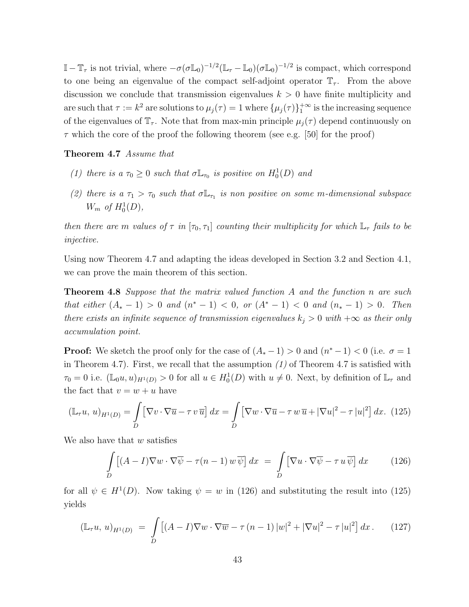$\mathbb{I}-\mathbb{T}_{\tau}$  is not trivial, where  $-\sigma(\sigma\mathbb{L}_0)^{-1/2}(\mathbb{L}_{\tau}-\mathbb{L}_0)(\sigma\mathbb{L}_0)^{-1/2}$  is compact, which correspond to one being an eigenvalue of the compact self-adjoint operator  $\mathbb{T}_{\tau}$ . From the above discussion we conclude that transmission eigenvalues  $k > 0$  have finite multiplicity and are such that  $\tau := k^2$  are solutions to  $\mu_j(\tau) = 1$  where  $\{\mu_j(\tau)\}_1^{+\infty}$  is the increasing sequence of the eigenvalues of  $\mathbb{T}_{\tau}$ . Note that from max-min principle  $\mu_j(\tau)$  depend continuously on  $\tau$  which the core of the proof the following theorem (see e.g. [50] for the proof)

#### Theorem 4.7 Assume that

- (1) there is a  $\tau_0 \geq 0$  such that  $\sigma \mathbb{L}_{\tau_0}$  is positive on  $H_0^1(D)$  and
- (2) there is a  $\tau_1 > \tau_0$  such that  $\sigma \mathbb{L}_{\tau_1}$  is non positive on some m-dimensional subspace  $W_m$  of  $H_0^1(D)$ ,

then there are m values of  $\tau$  in  $[\tau_0, \tau_1]$  counting their multiplicity for which  $\mathbb{L}_{\tau}$  fails to be injective.

Using now Theorem 4.7 and adapting the ideas developed in Section 3.2 and Section 4.1, we can prove the main theorem of this section.

**Theorem 4.8** Suppose that the matrix valued function A and the function n are such that either  $(A_* - 1) > 0$  and  $(n^* - 1) < 0$ , or  $(A^* - 1) < 0$  and  $(n_* - 1) > 0$ . Then there exists an infinite sequence of transmission eigenvalues  $k_j > 0$  with  $+\infty$  as their only accumulation point.

**Proof:** We sketch the proof only for the case of  $(A_*-1) > 0$  and  $(n^*-1) < 0$  (i.e.  $\sigma = 1$ ) in Theorem 4.7). First, we recall that the assumption  $(1)$  of Theorem 4.7 is satisfied with  $\tau_0 = 0$  i.e.  $(\mathbb{L}_0 u, u)_{H^1(D)} > 0$  for all  $u \in H_0^1(D)$  with  $u \neq 0$ . Next, by definition of  $\mathbb{L}_\tau$  and the fact that  $v = w + u$  have

$$
(\mathbb{L}_{\tau}u, u)_{H^{1}(D)} = \int_{D} \left[ \nabla v \cdot \nabla \overline{u} - \tau v \, \overline{u} \right] dx = \int_{D} \left[ \nabla w \cdot \nabla \overline{u} - \tau w \, \overline{u} + |\nabla u|^{2} - \tau |u|^{2} \right] dx. \tag{125}
$$

We also have that  $w$  satisfies

$$
\int_{D} \left[ (A - I) \nabla w \cdot \nabla \overline{\psi} - \tau (n - 1) w \overline{\psi} \right] dx = \int_{D} \left[ \nabla u \cdot \nabla \overline{\psi} - \tau u \overline{\psi} \right] dx \qquad (126)
$$

for all  $\psi \in H^1(D)$ . Now taking  $\psi = w$  in (126) and substituting the result into (125) yields

$$
(\mathbb{L}_{\tau}u, u)_{H^{1}(D)} = \int_{D} \left[ (A - I)\nabla w \cdot \nabla \overline{w} - \tau (n - 1) |w|^{2} + |\nabla u|^{2} - \tau |u|^{2} \right] dx. \tag{127}
$$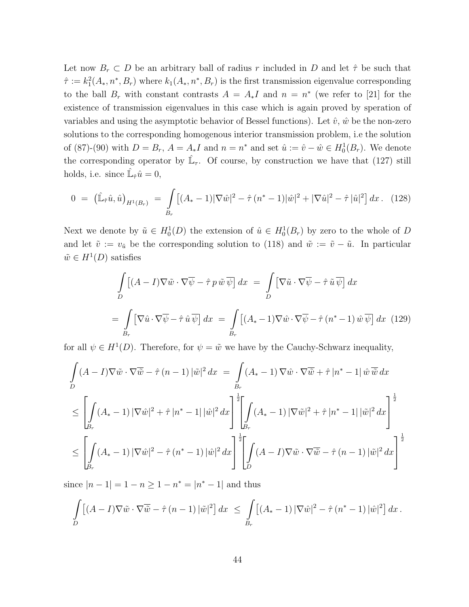Let now  $B_r \subset D$  be an arbitrary ball of radius r included in D and let  $\hat{\tau}$  be such that  $\hat{\tau} := k_1^2(A_*, n^*, B_r)$  where  $k_1(A_*, n^*, B_r)$  is the first transmission eigenvalue corresponding to the ball  $B_r$  with constant contrasts  $A = A_*I$  and  $n = n^*$  (we refer to [21] for the existence of transmission eigenvalues in this case which is again proved by speration of variables and using the asymptotic behavior of Bessel functions). Let  $\hat{v}$ ,  $\hat{w}$  be the non-zero solutions to the corresponding homogenous interior transmission problem, i.e the solution of (87)-(90) with  $D = B_r$ ,  $A = A_*I$  and  $n = n^*$  and set  $\hat{u} := \hat{v} - \hat{w} \in H_0^1(B_r)$ . We denote the corresponding operator by  $\hat{\mathbb{L}}_{\tau}$ . Of course, by construction we have that (127) still holds, i.e. since  $\hat{\mathbb{L}}_{\hat{\tau}}\hat{u} = 0$ ,

$$
0 = (\hat{\mathbb{L}}_{\hat{\tau}} \hat{u}, \hat{u})_{H^1(B_r)} = \int_{B_r} \left[ (A_* - 1) |\nabla \hat{w}|^2 - \hat{\tau} (n^* - 1) |\hat{w}|^2 + |\nabla \hat{u}|^2 - \hat{\tau} |\hat{u}|^2 \right] dx. \tag{128}
$$

Next we denote by  $\tilde{u} \in H_0^1(D)$  the extension of  $\hat{u} \in H_0^1(B_r)$  by zero to the whole of D and let  $\tilde{v} := v_{\tilde{u}}$  be the corresponding solution to (118) and  $\tilde{w} := \tilde{v} - \tilde{u}$ . In particular  $\tilde{w} \in H^1(D)$  satisfies

$$
\int_{D} \left[ (A - I) \nabla \tilde{w} \cdot \nabla \overline{\psi} - \hat{\tau} p \tilde{w} \overline{\psi} \right] dx = \int_{D} \left[ \nabla \tilde{u} \cdot \nabla \overline{\psi} - \hat{\tau} \tilde{u} \overline{\psi} \right] dx
$$

$$
= \int_{B_r} \left[ \nabla \hat{u} \cdot \nabla \overline{\psi} - \hat{\tau} \hat{u} \overline{\psi} \right] dx = \int_{B_r} \left[ (A_* - 1) \nabla \hat{w} \cdot \nabla \overline{\psi} - \hat{\tau} \left( n^* - 1 \right) \hat{w} \overline{\psi} \right] dx \tag{129}
$$

for all  $\psi \in H^1(D)$ . Therefore, for  $\psi = \tilde{w}$  we have by the Cauchy-Schwarz inequality,

$$
\int_{D} (A - I)\nabla \tilde{w} \cdot \nabla \overline{\tilde{w}} - \hat{\tau}(n-1) |\tilde{w}|^2 dx = \int_{B_r} (A_* - 1) \nabla \hat{w} \cdot \nabla \overline{\tilde{w}} + \hat{\tau} |n^* - 1| \hat{w} \overline{\tilde{w}} dx
$$
\n
$$
\leq \left[ \int_{B_r} (A_* - 1) |\nabla \hat{w}|^2 + \hat{\tau} |n^* - 1| |\hat{w}|^2 dx \right]^{\frac{1}{2}} \left[ \int_{B_r} (A_* - 1) |\nabla \tilde{w}|^2 + \hat{\tau} |n^* - 1| |\tilde{w}|^2 dx \right]^{\frac{1}{2}}
$$
\n
$$
\leq \left[ \int_{B_r} (A_* - 1) |\nabla \hat{w}|^2 - \hat{\tau} (n^* - 1) |\hat{w}|^2 dx \right]^{\frac{1}{2}} \left[ \int_{D} (A - I)\nabla \tilde{w} \cdot \nabla \overline{\tilde{w}} - \hat{\tau} (n - 1) |\tilde{w}|^2 dx \right]^{\frac{1}{2}}
$$

since  $|n-1|=1-n\geq 1-n^*=|n^*-1|$  and thus

$$
\int\limits_{D} \left[ (A-I)\nabla \tilde{w} \cdot \nabla \overline{\tilde{w}} - \hat{\tau} (n-1) |\tilde{w}|^2 \right] dx \leq \int\limits_{B_r} \left[ (A_*-1) |\nabla \hat{w}|^2 - \hat{\tau} (n^*-1) |\hat{w}|^2 \right] dx.
$$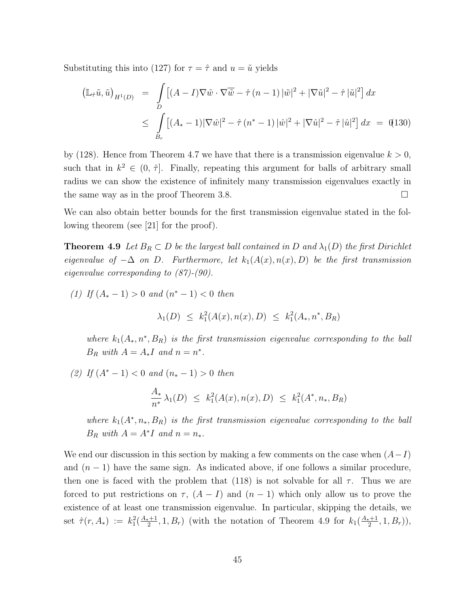Substituting this into (127) for  $\tau = \hat{\tau}$  and  $u = \tilde{u}$  yields

$$
\begin{aligned}\n\left(\mathbb{L}_{\hat{\tau}}\tilde{u},\tilde{u}\right)_{H^1(D)} &= \int\limits_D \left[ (A-I)\nabla\tilde{w}\cdot\nabla\overline{\tilde{w}} - \hat{\tau}(n-1) \,|\tilde{w}|^2 + |\nabla\tilde{u}|^2 - \hat{\tau} \,|\tilde{u}|^2 \right] dx \\
&\leq \int\limits_{B_r} \left[ (A_*-1)|\nabla\hat{w}|^2 - \hat{\tau}(n^*-1) \,|\hat{w}|^2 + |\nabla\hat{u}|^2 - \hat{\tau} \,|\hat{u}|^2 \right] dx = (130)\n\end{aligned}
$$

by (128). Hence from Theorem 4.7 we have that there is a transmission eigenvalue  $k > 0$ , such that in  $k^2 \in (0, \hat{\tau}]$ . Finally, repeating this argument for balls of arbitrary small radius we can show the existence of infinitely many transmission eigenvalues exactly in the same way as in the proof Theorem 3.8.

We can also obtain better bounds for the first transmission eigenvalue stated in the following theorem (see [21] for the proof).

**Theorem 4.9** Let  $B_R \subset D$  be the largest ball contained in D and  $\lambda_1(D)$  the first Dirichlet eigenvalue of  $-\Delta$  on D. Furthermore, let  $k_1(A(x), n(x), D)$  be the first transmission eigenvalue corresponding to (87)-(90).

(1) If  $(A_* - 1) > 0$  and  $(n^* - 1) < 0$  then

 $\lambda_1(D) \leq k_1^2(A(x), n(x), D) \leq k_1^2(A_*, n^*, B_R)$ 

where  $k_1(A_*, n^*, B_R)$  is the first transmission eigenvalue corresponding to the ball  $B_R$  with  $A = A_*I$  and  $n = n^*$ .

(2) If  $(A^* - 1) < 0$  and  $(n_* - 1) > 0$  then

$$
\frac{A_*}{n^*} \lambda_1(D) \leq k_1^2(A(x), n(x), D) \leq k_1^2(A^*, n_*, B_R)
$$

where  $k_1(A^*, n_*, B_R)$  is the first transmission eigenvalue corresponding to the ball  $B_R$  with  $A = A^*I$  and  $n = n_*$ .

We end our discussion in this section by making a few comments on the case when  $(A-I)$ and  $(n-1)$  have the same sign. As indicated above, if one follows a similar procedure, then one is faced with the problem that (118) is not solvable for all  $\tau$ . Thus we are forced to put restrictions on  $\tau$ ,  $(A - I)$  and  $(n - 1)$  which only allow us to prove the existence of at least one transmission eigenvalue. In particular, skipping the details, we set  $\hat{\tau}(r, A_*) := k_1^2(\frac{A_*+1}{2})$  $\frac{k+1}{2}$ , 1,  $B_r$ ) (with the notation of Theorem 4.9 for  $k_1(\frac{A_*+1}{2})$  $\frac{1}{2}, 1, B_r$ ),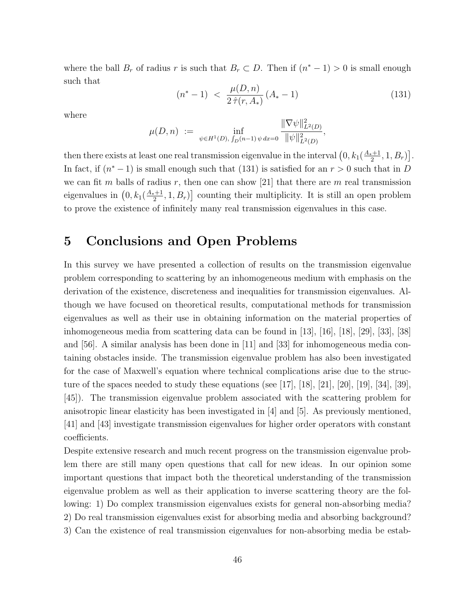where the ball  $B_r$  of radius r is such that  $B_r \subset D$ . Then if  $(n^* - 1) > 0$  is small enough such that

$$
(n^* - 1) \, < \, \frac{\mu(D, n)}{2\,\hat{\tau}(r, A_*)} \,(A_* - 1) \tag{131}
$$

where

$$
\mu(D, n) := \inf_{\psi \in H^1(D), \, \int_D (n-1) \psi \, dx = 0} \frac{\|\nabla \psi\|_{L^2(D)}^2}{\|\psi\|_{L^2(D)}^2},
$$

then there exists at least one real transmission eigenvalue in the interval  $(0, k_1(\frac{A_*+1}{2})$  $\frac{1}{2}, 1, B_r$ ). In fact, if  $(n^*-1)$  is small enough such that (131) is satisfied for an  $r > 0$  such that in D we can fit m balls of radius r, then one can show [21] that there are m real transmission eigenvalues in  $(0, k_1(\frac{A_*+1}{2})$  $\left[\frac{1}{2}, 1, B_r\right]$  counting their multiplicity. It is still an open problem to prove the existence of infinitely many real transmission eigenvalues in this case.

### 5 Conclusions and Open Problems

In this survey we have presented a collection of results on the transmission eigenvalue problem corresponding to scattering by an inhomogeneous medium with emphasis on the derivation of the existence, discreteness and inequalities for transmission eigenvalues. Although we have focused on theoretical results, computational methods for transmission eigenvalues as well as their use in obtaining information on the material properties of inhomogeneous media from scattering data can be found in [13], [16], [18], [29], [33], [38] and [56]. A similar analysis has been done in [11] and [33] for inhomogeneous media containing obstacles inside. The transmission eigenvalue problem has also been investigated for the case of Maxwell's equation where technical complications arise due to the structure of the spaces needed to study these equations (see [17], [18], [21], [20], [19], [34], [39], [45]). The transmission eigenvalue problem associated with the scattering problem for anisotropic linear elasticity has been investigated in [4] and [5]. As previously mentioned, [41] and [43] investigate transmission eigenvalues for higher order operators with constant coefficients.

Despite extensive research and much recent progress on the transmission eigenvalue problem there are still many open questions that call for new ideas. In our opinion some important questions that impact both the theoretical understanding of the transmission eigenvalue problem as well as their application to inverse scattering theory are the following: 1) Do complex transmission eigenvalues exists for general non-absorbing media? 2) Do real transmission eigenvalues exist for absorbing media and absorbing background? 3) Can the existence of real transmission eigenvalues for non-absorbing media be estab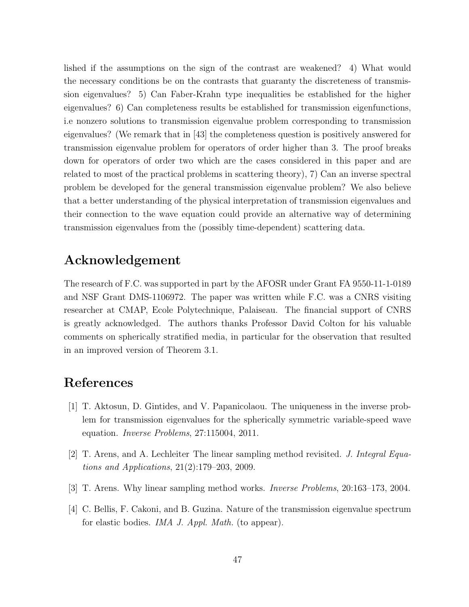lished if the assumptions on the sign of the contrast are weakened? 4) What would the necessary conditions be on the contrasts that guaranty the discreteness of transmission eigenvalues? 5) Can Faber-Krahn type inequalities be established for the higher eigenvalues? 6) Can completeness results be established for transmission eigenfunctions, i.e nonzero solutions to transmission eigenvalue problem corresponding to transmission eigenvalues? (We remark that in [43] the completeness question is positively answered for transmission eigenvalue problem for operators of order higher than 3. The proof breaks down for operators of order two which are the cases considered in this paper and are related to most of the practical problems in scattering theory), 7) Can an inverse spectral problem be developed for the general transmission eigenvalue problem? We also believe that a better understanding of the physical interpretation of transmission eigenvalues and their connection to the wave equation could provide an alternative way of determining transmission eigenvalues from the (possibly time-dependent) scattering data.

## Acknowledgement

The research of F.C. was supported in part by the AFOSR under Grant FA 9550-11-1-0189 and NSF Grant DMS-1106972. The paper was written while F.C. was a CNRS visiting researcher at CMAP, Ecole Polytechnique, Palaiseau. The financial support of CNRS is greatly acknowledged. The authors thanks Professor David Colton for his valuable comments on spherically stratified media, in particular for the observation that resulted in an improved version of Theorem 3.1.

## References

- [1] T. Aktosun, D. Gintides, and V. Papanicolaou. The uniqueness in the inverse problem for transmission eigenvalues for the spherically symmetric variable-speed wave equation. Inverse Problems, 27:115004, 2011.
- [2] T. Arens, and A. Lechleiter The linear sampling method revisited. J. Integral Equations and Applications, 21(2):179–203, 2009.
- [3] T. Arens. Why linear sampling method works. Inverse Problems, 20:163–173, 2004.
- [4] C. Bellis, F. Cakoni, and B. Guzina. Nature of the transmission eigenvalue spectrum for elastic bodies. IMA J. Appl. Math. (to appear).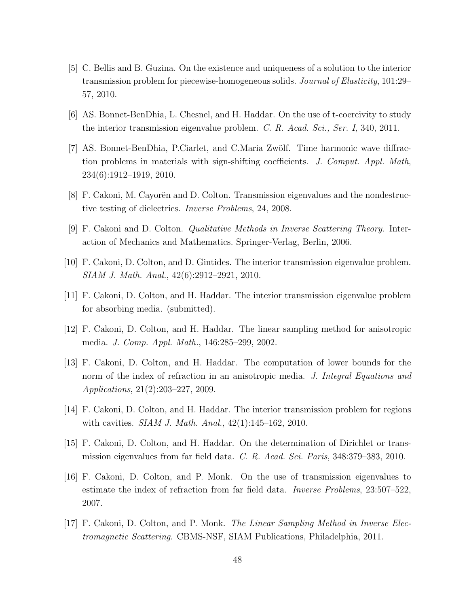- [5] C. Bellis and B. Guzina. On the existence and uniqueness of a solution to the interior transmission problem for piecewise-homogeneous solids. Journal of Elasticity, 101:29– 57, 2010.
- [6] AS. Bonnet-BenDhia, L. Chesnel, and H. Haddar. On the use of t-coercivity to study the interior transmission eigenvalue problem. C. R. Acad. Sci., Ser. I, 340, 2011.
- [7] AS. Bonnet-BenDhia, P.Ciarlet, and C.Maria Zwölf. Time harmonic wave diffraction problems in materials with sign-shifting coefficients. J. Comput. Appl. Math, 234(6):1912–1919, 2010.
- [8] F. Cakoni, M. Cayorën and D. Colton. Transmission eigenvalues and the nondestructive testing of dielectrics. Inverse Problems, 24, 2008.
- [9] F. Cakoni and D. Colton. Qualitative Methods in Inverse Scattering Theory. Interaction of Mechanics and Mathematics. Springer-Verlag, Berlin, 2006.
- [10] F. Cakoni, D. Colton, and D. Gintides. The interior transmission eigenvalue problem. SIAM J. Math. Anal., 42(6):2912–2921, 2010.
- [11] F. Cakoni, D. Colton, and H. Haddar. The interior transmission eigenvalue problem for absorbing media. (submitted).
- [12] F. Cakoni, D. Colton, and H. Haddar. The linear sampling method for anisotropic media. J. Comp. Appl. Math., 146:285–299, 2002.
- [13] F. Cakoni, D. Colton, and H. Haddar. The computation of lower bounds for the norm of the index of refraction in an anisotropic media. J. Integral Equations and Applications, 21(2):203–227, 2009.
- [14] F. Cakoni, D. Colton, and H. Haddar. The interior transmission problem for regions with cavities. *SIAM J. Math. Anal.*, 42(1):145–162, 2010.
- [15] F. Cakoni, D. Colton, and H. Haddar. On the determination of Dirichlet or transmission eigenvalues from far field data. C. R. Acad. Sci. Paris, 348:379–383, 2010.
- [16] F. Cakoni, D. Colton, and P. Monk. On the use of transmission eigenvalues to estimate the index of refraction from far field data. Inverse Problems, 23:507–522, 2007.
- [17] F. Cakoni, D. Colton, and P. Monk. The Linear Sampling Method in Inverse Electromagnetic Scattering. CBMS-NSF, SIAM Publications, Philadelphia, 2011.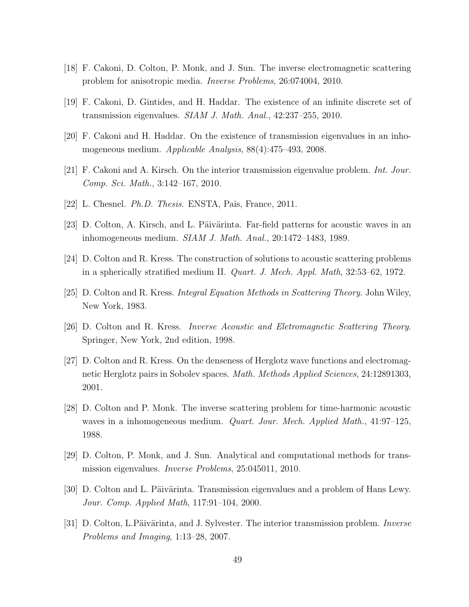- [18] F. Cakoni, D. Colton, P. Monk, and J. Sun. The inverse electromagnetic scattering problem for anisotropic media. Inverse Problems, 26:074004, 2010.
- [19] F. Cakoni, D. Gintides, and H. Haddar. The existence of an infinite discrete set of transmission eigenvalues. SIAM J. Math. Anal., 42:237–255, 2010.
- [20] F. Cakoni and H. Haddar. On the existence of transmission eigenvalues in an inhomogeneous medium. Applicable Analysis, 88(4):475–493, 2008.
- [21] F. Cakoni and A. Kirsch. On the interior transmission eigenvalue problem. Int. Jour. Comp. Sci. Math., 3:142–167, 2010.
- [22] L. Chesnel. Ph.D. Thesis. ENSTA, Pais, France, 2011.
- [23] D. Colton, A. Kirsch, and L. Päivärinta. Far-field patterns for acoustic waves in an inhomogeneous medium. SIAM J. Math. Anal., 20:1472–1483, 1989.
- [24] D. Colton and R. Kress. The construction of solutions to acoustic scattering problems in a spherically stratified medium II. Quart. J. Mech. Appl. Math, 32:53–62, 1972.
- [25] D. Colton and R. Kress. Integral Equation Methods in Scattering Theory. John Wiley, New York, 1983.
- [26] D. Colton and R. Kress. Inverse Acoustic and Eletromagnetic Scattering Theory. Springer, New York, 2nd edition, 1998.
- [27] D. Colton and R. Kress. On the denseness of Herglotz wave functions and electromagnetic Herglotz pairs in Sobolev spaces. Math. Methods Applied Sciences, 24:12891303, 2001.
- [28] D. Colton and P. Monk. The inverse scattering problem for time-harmonic acoustic waves in a inhomogeneous medium. *Quart. Jour. Mech. Applied Math.*, 41:97–125, 1988.
- [29] D. Colton, P. Monk, and J. Sun. Analytical and computational methods for transmission eigenvalues. Inverse Problems, 25:045011, 2010.
- [30] D. Colton and L. Päivärinta. Transmission eigenvalues and a problem of Hans Lewy. Jour. Comp. Applied Math, 117:91–104, 2000.
- [31] D. Colton, L.Päivärinta, and J. Sylvester. The interior transmission problem. *Inverse* Problems and Imaging, 1:13–28, 2007.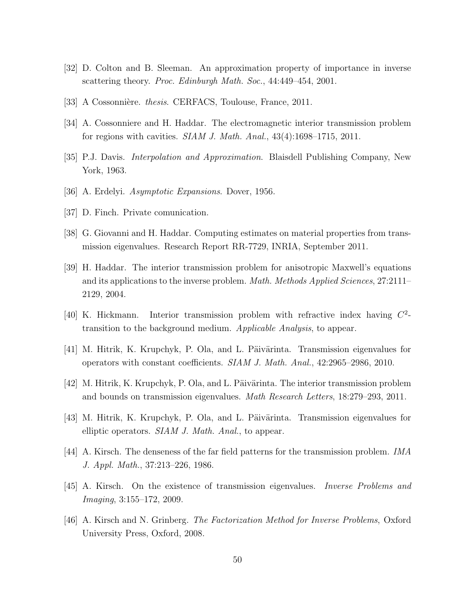- [32] D. Colton and B. Sleeman. An approximation property of importance in inverse scattering theory. Proc. Edinburgh Math. Soc., 44:449–454, 2001.
- [33] A Cossonnière. *thesis.* CERFACS, Toulouse, France, 2011.
- [34] A. Cossonniere and H. Haddar. The electromagnetic interior transmission problem for regions with cavities. SIAM J. Math. Anal., 43(4):1698–1715, 2011.
- [35] P.J. Davis. Interpolation and Approximation. Blaisdell Publishing Company, New York, 1963.
- [36] A. Erdelyi. Asymptotic Expansions. Dover, 1956.
- [37] D. Finch. Private comunication.
- [38] G. Giovanni and H. Haddar. Computing estimates on material properties from transmission eigenvalues. Research Report RR-7729, INRIA, September 2011.
- [39] H. Haddar. The interior transmission problem for anisotropic Maxwell's equations and its applications to the inverse problem. Math. Methods Applied Sciences, 27:2111– 2129, 2004.
- [40] K. Hickmann. Interior transmission problem with refractive index having  $C^2$ transition to the background medium. Applicable Analysis, to appear.
- [41] M. Hitrik, K. Krupchyk, P. Ola, and L. Päivärinta. Transmission eigenvalues for operators with constant coefficients. SIAM J. Math. Anal., 42:2965–2986, 2010.
- $[42]$  M. Hitrik, K. Krupchyk, P. Ola, and L. Päivärinta. The interior transmission problem and bounds on transmission eigenvalues. Math Research Letters, 18:279–293, 2011.
- [43] M. Hitrik, K. Krupchyk, P. Ola, and L. Päivärinta. Transmission eigenvalues for elliptic operators. SIAM J. Math. Anal., to appear.
- [44] A. Kirsch. The denseness of the far field patterns for the transmission problem. IMA J. Appl. Math., 37:213–226, 1986.
- [45] A. Kirsch. On the existence of transmission eigenvalues. Inverse Problems and Imaging, 3:155–172, 2009.
- [46] A. Kirsch and N. Grinberg. The Factorization Method for Inverse Problems, Oxford University Press, Oxford, 2008.